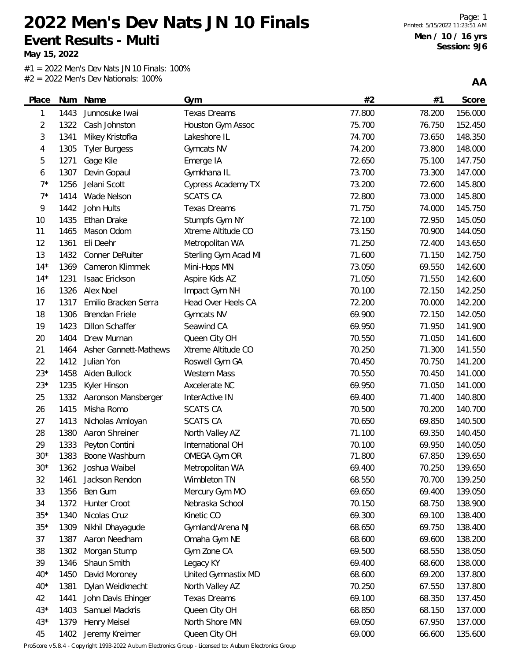**May 15, 2022**

 $#1 = 2022$  Men's Dev Nats JN 10 Finals: 100% #2 = 2022 Men's Dev Nationals: 100%

**AA**

| Place       |      | Num Name               | Gym                       | #2     | #1     | Score   |
|-------------|------|------------------------|---------------------------|--------|--------|---------|
| 1           | 1443 | Junnosuke Iwai         | <b>Texas Dreams</b>       | 77.800 | 78.200 | 156.000 |
| 2           | 1322 | Cash Johnston          | Houston Gym Assoc         | 75.700 | 76.750 | 152.450 |
| 3           | 1341 | Mikey Kristofka        | Lakeshore IL              | 74.700 | 73.650 | 148.350 |
| 4           | 1305 | <b>Tyler Burgess</b>   | Gymcats NV                | 74.200 | 73.800 | 148.000 |
| 5           | 1271 | Gage Kile              | Emerge IA                 | 72.650 | 75.100 | 147.750 |
| 6           | 1307 | Devin Gopaul           | Gymkhana IL               | 73.700 | 73.300 | 147.000 |
| $7^*$       | 1256 | Jelani Scott           | <b>Cypress Academy TX</b> | 73.200 | 72.600 | 145.800 |
| $7^{\star}$ | 1414 | Wade Nelson            | <b>SCATS CA</b>           | 72.800 | 73.000 | 145.800 |
| 9           | 1442 | John Hults             | <b>Texas Dreams</b>       | 71.750 | 74.000 | 145.750 |
| 10          | 1435 | Ethan Drake            | Stumpfs Gym NY            | 72.100 | 72.950 | 145.050 |
| 11          | 1465 | Mason Odom             | Xtreme Altitude CO        | 73.150 | 70.900 | 144.050 |
| 12          | 1361 | Eli Deehr              | Metropolitan WA           | 71.250 | 72.400 | 143.650 |
| 13          | 1432 | Conner DeRuiter        | Sterling Gym Acad MI      | 71.600 | 71.150 | 142.750 |
| $14*$       | 1369 | Cameron Klimmek        | Mini-Hops MN              | 73.050 | 69.550 | 142.600 |
| $14*$       | 1231 | Isaac Erickson         | Aspire Kids AZ            | 71.050 | 71.550 | 142.600 |
| 16          | 1326 | Alex Noel              | Impact Gym NH             | 70.100 | 72.150 | 142.250 |
| 17          | 1317 | Emilio Bracken Serra   | Head Over Heels CA        | 72.200 | 70.000 | 142.200 |
| 18          | 1306 | <b>Brendan Friele</b>  | Gymcats NV                | 69.900 | 72.150 | 142.050 |
| 19          | 1423 | <b>Dillon Schaffer</b> | Seawind CA                | 69.950 | 71.950 | 141.900 |
| 20          | 1404 | Drew Murnan            | Queen City OH             | 70.550 | 71.050 | 141.600 |
| 21          | 1464 | Asher Gannett-Mathews  | Xtreme Altitude CO        | 70.250 | 71.300 | 141.550 |
| 22          | 1412 | Julian Yon             | Roswell Gym GA            | 70.450 | 70.750 | 141.200 |
| $23*$       | 1458 | Aiden Bullock          | <b>Western Mass</b>       | 70.550 | 70.450 | 141.000 |
| $23*$       | 1235 | Kyler Hinson           | Axcelerate NC             | 69.950 | 71.050 | 141.000 |
| 25          | 1332 | Aaronson Mansberger    | InterActive IN            | 69.400 | 71.400 | 140.800 |
| 26          | 1415 | Misha Romo             | <b>SCATS CA</b>           | 70.500 | 70.200 | 140.700 |
| 27          | 1413 | Nicholas Amloyan       | <b>SCATS CA</b>           | 70.650 | 69.850 | 140.500 |
| 28          | 1380 | Aaron Shreiner         | North Valley AZ           | 71.100 | 69.350 | 140.450 |
| 29          | 1333 | Peyton Contini         | International OH          | 70.100 | 69.950 | 140.050 |
| $30*$       | 1383 | Boone Washburn         | OMEGA Gym OR              | 71.800 | 67.850 | 139.650 |
| $30*$       | 1362 | Joshua Waibel          | Metropolitan WA           | 69.400 | 70.250 | 139.650 |
| 32          | 1461 | Jackson Rendon         | Wimbleton TN              | 68.550 | 70.700 | 139.250 |
| 33          | 1356 | Ben Gum                | Mercury Gym MO            | 69.650 | 69.400 | 139.050 |
| 34          | 1372 | Hunter Croot           | Nebraska School           | 70.150 | 68.750 | 138.900 |
| $35*$       | 1340 | Nicolas Cruz           | Kinetic CO                | 69.300 | 69.100 | 138.400 |
| $35*$       | 1309 | Nikhil Dhayagude       | Gymland/Arena NJ          | 68.650 | 69.750 | 138.400 |
| 37          | 1387 | Aaron Needham          | Omaha Gym NE              | 68.600 | 69.600 | 138.200 |
| 38          | 1302 | Morgan Stump           | Gym Zone CA               | 69.500 | 68.550 | 138.050 |
| 39          | 1346 | Shaun Smith            | Legacy KY                 | 69.400 | 68.600 | 138.000 |
| $40*$       | 1450 | David Moroney          | United Gymnastix MD       | 68.600 | 69.200 | 137.800 |
| $40*$       | 1381 | Dylan Weidknecht       | North Valley AZ           | 70.250 | 67.550 | 137.800 |
| 42          | 1441 | John Davis Ehinger     | <b>Texas Dreams</b>       | 69.100 | 68.350 | 137.450 |
| $43*$       | 1403 | Samuel Mackris         | Queen City OH             | 68.850 | 68.150 | 137.000 |
| $43*$       | 1379 | <b>Henry Meisel</b>    | North Shore MN            | 69.050 | 67.950 | 137.000 |
| 45          | 1402 | Jeremy Kreimer         | Queen City OH             | 69.000 | 66.600 | 135.600 |

ProScore v5.8.4 - Copyright 1993-2022 Auburn Electronics Group - Licensed to: Auburn Electronics Group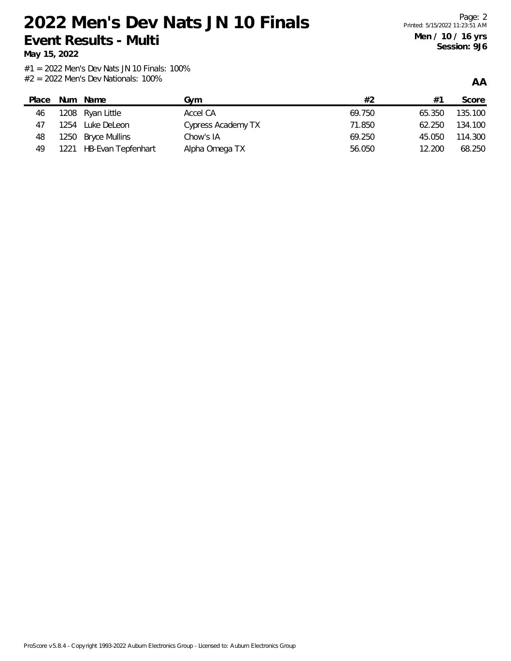**May 15, 2022**

**AA**

| Place |      | Num Name                  | Gvm                | #2     | $#^{\sim}$ | Score   |
|-------|------|---------------------------|--------------------|--------|------------|---------|
| 46    |      | 1208 Ryan Little          | Accel CA           | 69.750 | 65.350     | 135.100 |
| 47    | 1254 | Luke DeLeon               | Cypress Academy TX | 71.850 | 62.250     | 134.100 |
| 48    |      | 1250 Bryce Mullins        | Chow's IA          | 69.250 | 45.050     | 114.300 |
| 49    | 1221 | <b>HB-Evan Tepfenhart</b> | Alpha Omega TX     | 56.050 | 12.200     | 68.250  |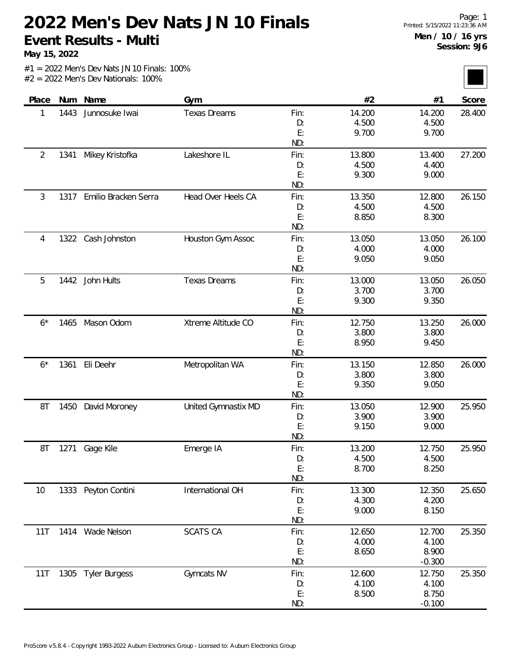**May 15, 2022**

| Place          | Num  | Name                 | Gym                 |      | #2     | #1       | Score  |
|----------------|------|----------------------|---------------------|------|--------|----------|--------|
| 1              | 1443 | Junnosuke Iwai       | <b>Texas Dreams</b> | Fin: | 14.200 | 14.200   | 28.400 |
|                |      |                      |                     | D:   | 4.500  | 4.500    |        |
|                |      |                      |                     | E:   | 9.700  | 9.700    |        |
|                |      |                      |                     | ND:  |        |          |        |
| $\overline{2}$ | 1341 | Mikey Kristofka      | Lakeshore IL        | Fin: | 13.800 | 13.400   | 27.200 |
|                |      |                      |                     | D:   | 4.500  | 4.400    |        |
|                |      |                      |                     | E:   | 9.300  | 9.000    |        |
|                |      |                      |                     | ND:  |        |          |        |
| 3              | 1317 | Emilio Bracken Serra | Head Over Heels CA  | Fin: | 13.350 | 12.800   | 26.150 |
|                |      |                      |                     | D:   | 4.500  | 4.500    |        |
|                |      |                      |                     | E:   | 8.850  | 8.300    |        |
|                |      |                      |                     | ND:  |        |          |        |
| 4              |      | 1322 Cash Johnston   | Houston Gym Assoc   | Fin: | 13.050 | 13.050   | 26.100 |
|                |      |                      |                     | D:   | 4.000  | 4.000    |        |
|                |      |                      |                     | E:   | 9.050  | 9.050    |        |
|                |      |                      |                     | ND:  |        |          |        |
| 5              |      | 1442 John Hults      | <b>Texas Dreams</b> | Fin: | 13.000 | 13.050   | 26.050 |
|                |      |                      |                     | D:   | 3.700  | 3.700    |        |
|                |      |                      |                     | E:   | 9.300  | 9.350    |        |
|                |      |                      |                     | ND:  |        |          |        |
| $6*$           |      | 1465 Mason Odom      | Xtreme Altitude CO  | Fin: | 12.750 | 13.250   | 26.000 |
|                |      |                      |                     | D:   | 3.800  | 3.800    |        |
|                |      |                      |                     | E:   | 8.950  | 9.450    |        |
|                |      |                      |                     | ND:  |        |          |        |
| $6*$           | 1361 | Eli Deehr            | Metropolitan WA     | Fin: | 13.150 | 12.850   | 26.000 |
|                |      |                      |                     | D:   | 3.800  | 3.800    |        |
|                |      |                      |                     | E:   | 9.350  | 9.050    |        |
|                |      |                      |                     | ND:  |        |          |        |
| 8T             | 1450 | David Moroney        | United Gymnastix MD | Fin: | 13.050 | 12.900   | 25.950 |
|                |      |                      |                     | D:   | 3.900  | 3.900    |        |
|                |      |                      |                     | E:   | 9.150  | 9.000    |        |
|                |      |                      |                     | ND:  |        |          |        |
| 8T             | 1271 | Gage Kile            | Emerge IA           | Fin: | 13.200 | 12.750   | 25.950 |
|                |      |                      |                     | D:   | 4.500  | 4.500    |        |
|                |      |                      |                     | E:   | 8.700  | 8.250    |        |
|                |      |                      |                     | ND:  |        |          |        |
| 10             |      | 1333 Peyton Contini  | International OH    | Fin: | 13.300 | 12.350   | 25.650 |
|                |      |                      |                     | D:   | 4.300  | 4.200    |        |
|                |      |                      |                     | E:   | 9.000  | 8.150    |        |
|                |      |                      |                     | ND:  |        |          |        |
| 11T            |      | 1414 Wade Nelson     | <b>SCATS CA</b>     | Fin: | 12.650 | 12.700   | 25.350 |
|                |      |                      |                     | D:   | 4.000  | 4.100    |        |
|                |      |                      |                     | E:   | 8.650  | 8.900    |        |
|                |      |                      |                     | ND:  |        | $-0.300$ |        |
| 11T            |      | 1305 Tyler Burgess   | Gymcats NV          | Fin: | 12.600 | 12.750   | 25.350 |
|                |      |                      |                     | D:   | 4.100  | 4.100    |        |
|                |      |                      |                     | E:   | 8.500  | 8.750    |        |
|                |      |                      |                     | ND:  |        | $-0.100$ |        |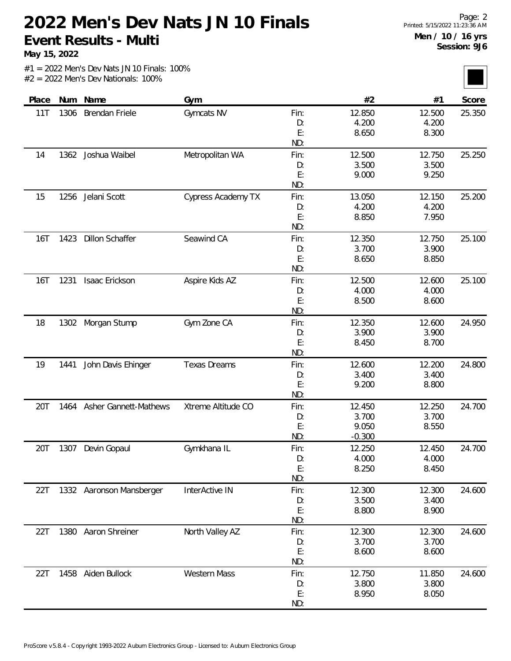**May 15, 2022**

|  | $#1 = 2022$ Men's Dev Nats JN 10 Finals: 100% |  |
|--|-----------------------------------------------|--|
|  | $#2 = 2022$ Men's Dev Nationals: 100%         |  |

| Place      | Num  | Name                     | Gym                 |           | #2              | #1              | Score  |
|------------|------|--------------------------|---------------------|-----------|-----------------|-----------------|--------|
| 11T        | 1306 | Brendan Friele           | Gymcats NV          | Fin:      | 12.850          | 12.500          | 25.350 |
|            |      |                          |                     | D:        | 4.200           | 4.200           |        |
|            |      |                          |                     | E:        | 8.650           | 8.300           |        |
|            |      |                          |                     | ND:       |                 |                 |        |
| 14         |      | 1362 Joshua Waibel       | Metropolitan WA     | Fin:      | 12.500          | 12.750          | 25.250 |
|            |      |                          |                     | D:        | 3.500           | 3.500           |        |
|            |      |                          |                     | E:        | 9.000           | 9.250           |        |
|            |      |                          |                     | ND:       |                 |                 |        |
| 15         | 1256 | Jelani Scott             | Cypress Academy TX  | Fin:      | 13.050          | 12.150          | 25.200 |
|            |      |                          |                     | D:        | 4.200           | 4.200           |        |
|            |      |                          |                     | E:        | 8.850           | 7.950           |        |
|            |      |                          |                     | ND:       |                 |                 |        |
| 16T        | 1423 | <b>Dillon Schaffer</b>   | Seawind CA          | Fin:      | 12.350          | 12.750          | 25.100 |
|            |      |                          |                     | D:        | 3.700           | 3.900           |        |
|            |      |                          |                     | E:        | 8.650           | 8.850           |        |
|            |      |                          |                     | ND:       |                 |                 |        |
| <b>16T</b> | 1231 | Isaac Erickson           | Aspire Kids AZ      | Fin:      | 12.500          | 12.600          | 25.100 |
|            |      |                          |                     | D:        | 4.000           | 4.000           |        |
|            |      |                          |                     | E:        | 8.500           | 8.600           |        |
|            |      |                          |                     | ND:       |                 |                 |        |
| 18         | 1302 | Morgan Stump             | Gym Zone CA         | Fin:      | 12.350          | 12.600          | 24.950 |
|            |      |                          |                     | D:        | 3.900           | 3.900           |        |
|            |      |                          |                     | E:        | 8.450           | 8.700           |        |
|            |      |                          |                     | ND:       |                 |                 |        |
| 19         | 1441 | John Davis Ehinger       | <b>Texas Dreams</b> | Fin:      | 12.600          | 12.200          | 24.800 |
|            |      |                          |                     | D:        | 3.400           | 3.400           |        |
|            |      |                          |                     | E:        | 9.200           | 8.800           |        |
|            |      |                          |                     | ND:       |                 |                 |        |
| 20T        | 1464 | Asher Gannett-Mathews    | Xtreme Altitude CO  | Fin:      | 12.450          | 12.250          | 24.700 |
|            |      |                          |                     | D:        | 3.700           | 3.700           |        |
|            |      |                          |                     | E:        | 9.050           | 8.550           |        |
|            |      |                          |                     | ND:       | $-0.300$        |                 |        |
| 20T        | 1307 | Devin Gopaul             | Gymkhana IL         | Fin:      | 12.250          | 12.450          | 24.700 |
|            |      |                          |                     | D:        | 4.000           | 4.000           |        |
|            |      |                          |                     | E:        | 8.250           | 8.450           |        |
|            |      |                          |                     | ND:       |                 |                 |        |
| 22T        |      | 1332 Aaronson Mansberger | InterActive IN      | Fin:      | 12.300          | 12.300          | 24.600 |
|            |      |                          |                     | D:        | 3.500           | 3.400           |        |
|            |      |                          |                     | E:<br>ND: | 8.800           | 8.900           |        |
| 22T        |      | 1380 Aaron Shreiner      | North Valley AZ     | Fin:      | 12.300          | 12.300          | 24.600 |
|            |      |                          |                     |           | 3.700           | 3.700           |        |
|            |      |                          |                     | D:<br>E:  | 8.600           | 8.600           |        |
|            |      |                          |                     | ND:       |                 |                 |        |
|            |      |                          |                     |           |                 |                 |        |
| 22T        | 1458 | Aiden Bullock            | <b>Western Mass</b> | Fin:      | 12.750<br>3.800 | 11.850<br>3.800 | 24.600 |
|            |      |                          |                     | D:<br>E:  | 8.950           | 8.050           |        |
|            |      |                          |                     |           |                 |                 |        |
|            |      |                          |                     | ND:       |                 |                 |        |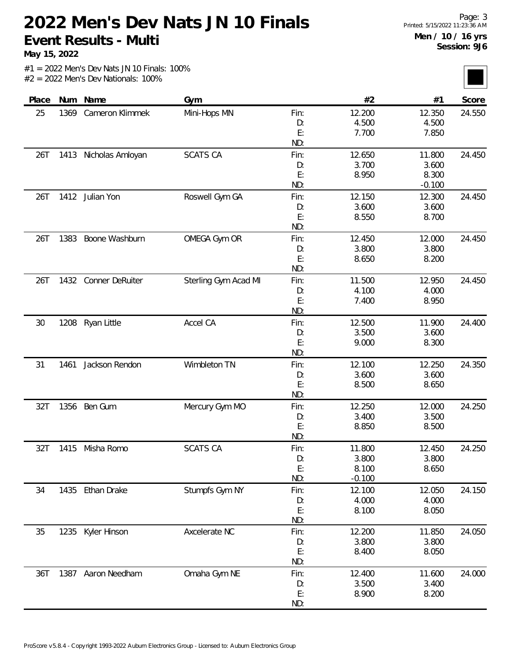**May 15, 2022**

|  |  |  | $#1 = 2022$ Men's Dev Nats JN 10 Finals: 100% |  |
|--|--|--|-----------------------------------------------|--|
|  |  |  | $#2 = 2022$ Men's Dev Nationals: 100%         |  |

| Place |      | Num Name             | Gym                  |      | #2       | #1       | Score  |
|-------|------|----------------------|----------------------|------|----------|----------|--------|
| 25    | 1369 | Cameron Klimmek      | Mini-Hops MN         | Fin: | 12.200   | 12.350   | 24.550 |
|       |      |                      |                      | D:   | 4.500    | 4.500    |        |
|       |      |                      |                      | E:   | 7.700    | 7.850    |        |
|       |      |                      |                      | ND:  |          |          |        |
| 26T   | 1413 | Nicholas Amloyan     | <b>SCATS CA</b>      | Fin: | 12.650   | 11.800   | 24.450 |
|       |      |                      |                      | D:   | 3.700    | 3.600    |        |
|       |      |                      |                      | E:   | 8.950    | 8.300    |        |
|       |      |                      |                      | ND:  |          | $-0.100$ |        |
| 26T   | 1412 | Julian Yon           | Roswell Gym GA       | Fin: | 12.150   | 12.300   | 24.450 |
|       |      |                      |                      | D:   | 3.600    | 3.600    |        |
|       |      |                      |                      | E:   | 8.550    | 8.700    |        |
|       |      |                      |                      | ND:  |          |          |        |
| 26T   | 1383 | Boone Washburn       | OMEGA Gym OR         | Fin: | 12.450   | 12.000   | 24.450 |
|       |      |                      |                      | D:   | 3.800    | 3.800    |        |
|       |      |                      |                      | E:   | 8.650    | 8.200    |        |
|       |      |                      |                      | ND:  |          |          |        |
| 26T   |      | 1432 Conner DeRuiter | Sterling Gym Acad MI | Fin: | 11.500   | 12.950   | 24.450 |
|       |      |                      |                      | D:   | 4.100    | 4.000    |        |
|       |      |                      |                      | E:   | 7.400    | 8.950    |        |
|       |      |                      |                      | ND:  |          |          |        |
| 30    | 1208 | Ryan Little          | Accel CA             | Fin: | 12.500   | 11.900   | 24.400 |
|       |      |                      |                      | D:   | 3.500    | 3.600    |        |
|       |      |                      |                      | E:   | 9.000    | 8.300    |        |
|       |      |                      |                      | ND:  |          |          |        |
| 31    | 1461 | Jackson Rendon       | Wimbleton TN         | Fin: | 12.100   | 12.250   | 24.350 |
|       |      |                      |                      | D:   | 3.600    | 3.600    |        |
|       |      |                      |                      | E:   | 8.500    | 8.650    |        |
|       |      |                      |                      | ND:  |          |          |        |
| 32T   | 1356 | Ben Gum              | Mercury Gym MO       | Fin: | 12.250   | 12.000   | 24.250 |
|       |      |                      |                      | D:   | 3.400    | 3.500    |        |
|       |      |                      |                      | E:   | 8.850    | 8.500    |        |
|       |      |                      |                      | ND:  |          |          |        |
| 32T   | 1415 | Misha Romo           | <b>SCATS CA</b>      | Fin: | 11.800   | 12.450   | 24.250 |
|       |      |                      |                      | D:   | 3.800    | 3.800    |        |
|       |      |                      |                      | E:   | 8.100    | 8.650    |        |
|       |      |                      |                      | ND:  | $-0.100$ |          |        |
| 34    |      | 1435 Ethan Drake     | Stumpfs Gym NY       | Fin: | 12.100   | 12.050   | 24.150 |
|       |      |                      |                      | D:   | 4.000    | 4.000    |        |
|       |      |                      |                      | E:   | 8.100    | 8.050    |        |
|       |      |                      |                      | ND:  |          |          |        |
| 35    | 1235 | Kyler Hinson         | Axcelerate NC        | Fin: | 12.200   | 11.850   | 24.050 |
|       |      |                      |                      | D:   | 3.800    | 3.800    |        |
|       |      |                      |                      | E:   | 8.400    | 8.050    |        |
|       |      |                      |                      | ND:  |          |          |        |
| 36T   |      | 1387 Aaron Needham   | Omaha Gym NE         | Fin: | 12.400   | 11.600   | 24.000 |
|       |      |                      |                      | D:   | 3.500    | 3.400    |        |
|       |      |                      |                      | E:   | 8.900    | 8.200    |        |
|       |      |                      |                      | ND:  |          |          |        |
|       |      |                      |                      |      |          |          |        |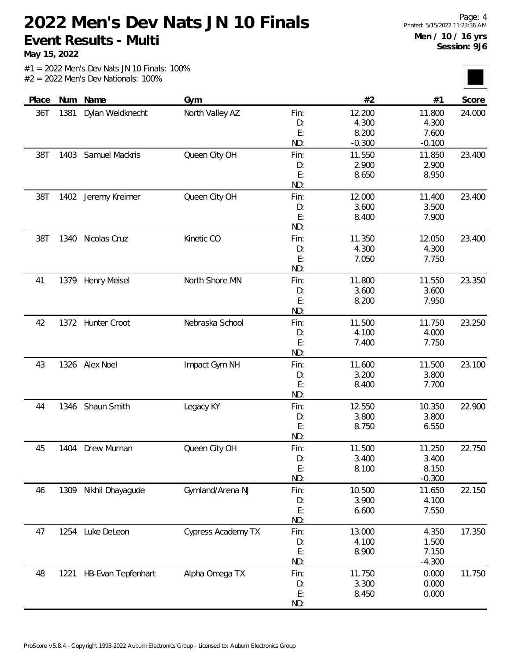**May 15, 2022**

| Place | Num  | Name                      | Gym                |      | #2       | #1       | Score  |
|-------|------|---------------------------|--------------------|------|----------|----------|--------|
| 36T   | 1381 | Dylan Weidknecht          | North Valley AZ    | Fin: | 12.200   | 11.800   | 24.000 |
|       |      |                           |                    | D:   | 4.300    | 4.300    |        |
|       |      |                           |                    | E:   | 8.200    | 7.600    |        |
|       |      |                           |                    | ND:  | $-0.300$ | $-0.100$ |        |
| 38T   | 1403 | Samuel Mackris            | Queen City OH      | Fin: | 11.550   | 11.850   | 23.400 |
|       |      |                           |                    | D:   | 2.900    | 2.900    |        |
|       |      |                           |                    | E:   | 8.650    | 8.950    |        |
|       |      |                           |                    | ND:  |          |          |        |
| 38T   |      | 1402 Jeremy Kreimer       | Queen City OH      | Fin: | 12.000   | 11.400   | 23.400 |
|       |      |                           |                    | D:   | 3.600    | 3.500    |        |
|       |      |                           |                    | E:   | 8.400    | 7.900    |        |
|       |      |                           |                    | ND:  |          |          |        |
| 38T   | 1340 | Nicolas Cruz              | Kinetic CO         | Fin: | 11.350   | 12.050   | 23.400 |
|       |      |                           |                    | D:   | 4.300    | 4.300    |        |
|       |      |                           |                    | E:   | 7.050    | 7.750    |        |
|       |      |                           |                    | ND:  |          |          |        |
| 41    | 1379 | <b>Henry Meisel</b>       | North Shore MN     | Fin: | 11.800   | 11.550   | 23.350 |
|       |      |                           |                    | D:   | 3.600    | 3.600    |        |
|       |      |                           |                    | E:   | 8.200    | 7.950    |        |
|       |      |                           |                    | ND:  |          |          |        |
| 42    |      | 1372 Hunter Croot         | Nebraska School    | Fin: | 11.500   | 11.750   | 23.250 |
|       |      |                           |                    | D:   | 4.100    | 4.000    |        |
|       |      |                           |                    | E:   | 7.400    | 7.750    |        |
|       |      |                           |                    | ND:  |          |          |        |
| 43    | 1326 | Alex Noel                 | Impact Gym NH      | Fin: | 11.600   | 11.500   | 23.100 |
|       |      |                           |                    | D:   | 3.200    | 3.800    |        |
|       |      |                           |                    | E:   | 8.400    | 7.700    |        |
|       |      |                           |                    | ND:  |          |          |        |
| 44    |      | 1346 Shaun Smith          | Legacy KY          | Fin: | 12.550   | 10.350   | 22.900 |
|       |      |                           |                    | D:   | 3.800    | 3.800    |        |
|       |      |                           |                    | E:   | 8.750    | 6.550    |        |
|       |      |                           |                    | ND:  |          |          |        |
| 45    | 1404 | Drew Murnan               | Queen City OH      | Fin: | 11.500   | 11.250   | 22.750 |
|       |      |                           |                    | D:   | 3.400    | 3.400    |        |
|       |      |                           |                    | E:   | 8.100    | 8.150    |        |
|       |      |                           |                    | ND:  |          | $-0.300$ |        |
| 46    | 1309 | Nikhil Dhayagude          | Gymland/Arena NJ   | Fin: | 10.500   | 11.650   | 22.150 |
|       |      |                           |                    | D:   | 3.900    | 4.100    |        |
|       |      |                           |                    | E:   | 6.600    | 7.550    |        |
|       |      |                           |                    | ND:  |          |          |        |
| 47    | 1254 | Luke DeLeon               | Cypress Academy TX | Fin: | 13.000   | 4.350    | 17.350 |
|       |      |                           |                    | D:   | 4.100    | 1.500    |        |
|       |      |                           |                    | E:   | 8.900    | 7.150    |        |
|       |      |                           |                    | ND:  |          | $-4.300$ |        |
| 48    | 1221 | <b>HB-Evan Tepfenhart</b> | Alpha Omega TX     | Fin: | 11.750   | 0.000    | 11.750 |
|       |      |                           |                    | D:   | 3.300    | 0.000    |        |
|       |      |                           |                    | E:   | 8.450    | 0.000    |        |
|       |      |                           |                    | ND:  |          |          |        |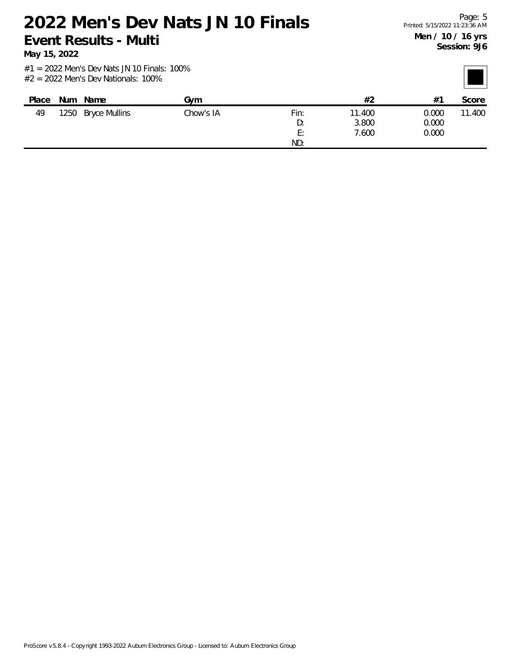**May 15, 2022**

| Place | <b>Num</b> | Name                 | Gvm       |                | #2     | $#^{\sim}$ | Score  |
|-------|------------|----------------------|-----------|----------------|--------|------------|--------|
| 49    | 1250       | <b>Bryce Mullins</b> | Chow's IA | Fin:           | 11.400 | 0.000      | 11.400 |
|       |            |                      |           | D:             | 3.800  | 0.000      |        |
|       |            |                      |           | F٠<br><u>.</u> | 7.600  | 0.000      |        |
|       |            |                      |           | ND:            |        |            |        |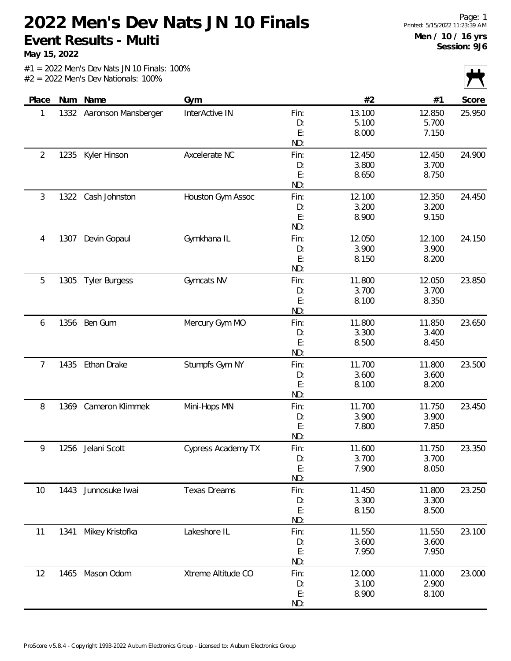**May 15, 2022**

|                |      |                          |                           |      |        |        | $\sqrt{ }$ |
|----------------|------|--------------------------|---------------------------|------|--------|--------|------------|
| Place          |      | Num Name                 | Gym                       |      | #2     | #1     | Score      |
| 1              |      | 1332 Aaronson Mansberger | InterActive IN            | Fin: | 13.100 | 12.850 | 25.950     |
|                |      |                          |                           | D:   | 5.100  | 5.700  |            |
|                |      |                          |                           | E:   | 8.000  | 7.150  |            |
|                |      |                          |                           | ND:  |        |        |            |
| $\overline{2}$ | 1235 | Kyler Hinson             | Axcelerate NC             | Fin: | 12.450 | 12.450 | 24.900     |
|                |      |                          |                           | D:   | 3.800  | 3.700  |            |
|                |      |                          |                           | E:   | 8.650  | 8.750  |            |
|                |      |                          |                           | ND:  |        |        |            |
| 3              | 1322 | Cash Johnston            | Houston Gym Assoc         | Fin: | 12.100 | 12.350 | 24.450     |
|                |      |                          |                           | D:   | 3.200  | 3.200  |            |
|                |      |                          |                           | E:   | 8.900  | 9.150  |            |
|                |      |                          |                           | ND:  |        |        |            |
| 4              | 1307 | Devin Gopaul             | Gymkhana IL               | Fin: | 12.050 | 12.100 | 24.150     |
|                |      |                          |                           | D:   | 3.900  | 3.900  |            |
|                |      |                          |                           | E:   | 8.150  | 8.200  |            |
|                |      |                          |                           | ND:  |        |        |            |
| 5              | 1305 | <b>Tyler Burgess</b>     | Gymcats NV                | Fin: | 11.800 | 12.050 | 23.850     |
|                |      |                          |                           | D:   | 3.700  | 3.700  |            |
|                |      |                          |                           | E:   | 8.100  | 8.350  |            |
|                |      |                          |                           | ND:  |        |        |            |
| 6              | 1356 | Ben Gum                  | Mercury Gym MO            | Fin: | 11.800 | 11.850 | 23.650     |
|                |      |                          |                           | D:   | 3.300  | 3.400  |            |
|                |      |                          |                           | E:   | 8.500  | 8.450  |            |
|                |      |                          |                           | ND:  |        |        |            |
| 7              | 1435 | Ethan Drake              | Stumpfs Gym NY            | Fin: | 11.700 | 11.800 | 23.500     |
|                |      |                          |                           | D:   | 3.600  | 3.600  |            |
|                |      |                          |                           | E:   | 8.100  | 8.200  |            |
|                |      |                          |                           | ND:  |        |        |            |
| 8              | 1369 | Cameron Klimmek          | Mini-Hops MN              | Fin: | 11.700 | 11.750 | 23.450     |
|                |      |                          |                           | D:   | 3.900  | 3.900  |            |
|                |      |                          |                           | E:   | 7.800  | 7.850  |            |
|                |      |                          |                           | ND:  |        |        |            |
| 9              | 1256 | Jelani Scott             | <b>Cypress Academy TX</b> | Fin: | 11.600 | 11.750 | 23.350     |
|                |      |                          |                           | D:   | 3.700  | 3.700  |            |
|                |      |                          |                           | E:   | 7.900  | 8.050  |            |
|                |      |                          |                           | ND:  |        |        |            |
| 10             | 1443 | Junnosuke Iwai           | <b>Texas Dreams</b>       | Fin: | 11.450 | 11.800 | 23.250     |
|                |      |                          |                           | D:   | 3.300  | 3.300  |            |
|                |      |                          |                           | E:   | 8.150  | 8.500  |            |
|                |      |                          |                           | ND:  |        |        |            |
| 11             | 1341 | Mikey Kristofka          | Lakeshore IL              | Fin: | 11.550 | 11.550 | 23.100     |
|                |      |                          |                           | D:   | 3.600  | 3.600  |            |
|                |      |                          |                           | E:   | 7.950  | 7.950  |            |
|                |      |                          |                           | ND:  |        |        |            |
| 12             | 1465 | Mason Odom               | Xtreme Altitude CO        | Fin: | 12.000 | 11.000 | 23.000     |
|                |      |                          |                           | D:   | 3.100  | 2.900  |            |
|                |      |                          |                           | E:   | 8.900  | 8.100  |            |
|                |      |                          |                           | ND:  |        |        |            |
|                |      |                          |                           |      |        |        |            |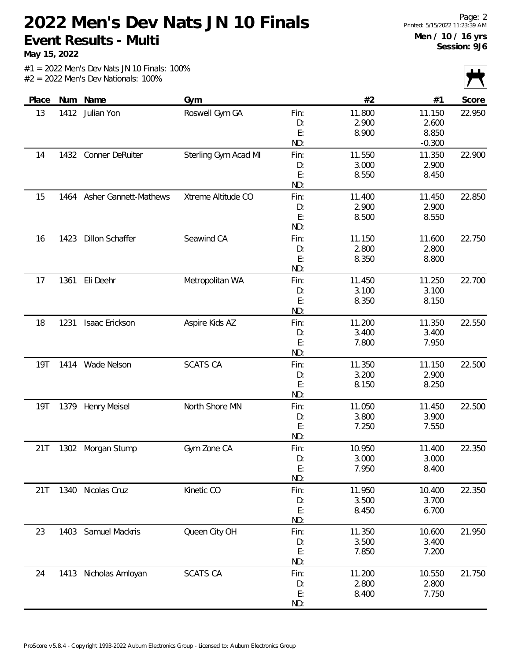**May 15, 2022**

|            |      |                              |                      |      |        |          | $\sim$ |
|------------|------|------------------------------|----------------------|------|--------|----------|--------|
| Place      |      | Num Name                     | Gym                  |      | #2     | #1       | Score  |
| 13         | 1412 | Julian Yon                   | Roswell Gym GA       | Fin: | 11.800 | 11.150   | 22.950 |
|            |      |                              |                      | D:   | 2.900  | 2.600    |        |
|            |      |                              |                      | E:   | 8.900  | 8.850    |        |
|            |      |                              |                      | ND:  |        | $-0.300$ |        |
| 14         |      | 1432 Conner DeRuiter         | Sterling Gym Acad MI | Fin: | 11.550 | 11.350   | 22.900 |
|            |      |                              |                      | D:   | 3.000  | 2.900    |        |
|            |      |                              |                      | E:   | 8.550  | 8.450    |        |
|            |      |                              |                      | ND:  |        |          |        |
| 15         | 1464 | <b>Asher Gannett-Mathews</b> | Xtreme Altitude CO   | Fin: | 11.400 | 11.450   | 22.850 |
|            |      |                              |                      | D:   | 2.900  | 2.900    |        |
|            |      |                              |                      | E:   | 8.500  | 8.550    |        |
|            |      |                              |                      | ND:  |        |          |        |
| 16         | 1423 | <b>Dillon Schaffer</b>       | Seawind CA           | Fin: | 11.150 | 11.600   | 22.750 |
|            |      |                              |                      | D:   | 2.800  | 2.800    |        |
|            |      |                              |                      | E:   | 8.350  | 8.800    |        |
|            |      |                              |                      | ND:  |        |          |        |
| 17         | 1361 | Eli Deehr                    | Metropolitan WA      | Fin: | 11.450 | 11.250   | 22.700 |
|            |      |                              |                      | D:   | 3.100  | 3.100    |        |
|            |      |                              |                      | E:   | 8.350  | 8.150    |        |
|            |      |                              |                      | ND:  |        |          |        |
| 18         | 1231 | Isaac Erickson               | Aspire Kids AZ       | Fin: | 11.200 | 11.350   | 22.550 |
|            |      |                              |                      | D:   | 3.400  | 3.400    |        |
|            |      |                              |                      | E:   | 7.800  | 7.950    |        |
|            |      |                              |                      | ND:  |        |          |        |
| <b>19T</b> |      | 1414 Wade Nelson             | <b>SCATS CA</b>      | Fin: | 11.350 | 11.150   | 22.500 |
|            |      |                              |                      | D:   | 3.200  | 2.900    |        |
|            |      |                              |                      | E:   | 8.150  | 8.250    |        |
|            |      |                              |                      | ND:  |        |          |        |
| <b>19T</b> | 1379 | <b>Henry Meisel</b>          | North Shore MN       | Fin: | 11.050 | 11.450   | 22.500 |
|            |      |                              |                      | D:   | 3.800  | 3.900    |        |
|            |      |                              |                      | E:   | 7.250  | 7.550    |        |
|            |      |                              |                      | ND:  |        |          |        |
| 21T        | 1302 | Morgan Stump                 | Gym Zone CA          | Fin: | 10.950 | 11.400   | 22.350 |
|            |      |                              |                      | D:   | 3.000  | 3.000    |        |
|            |      |                              |                      | E:   | 7.950  | 8.400    |        |
|            |      |                              |                      | ND:  |        |          |        |
| 21T        |      | 1340 Nicolas Cruz            | Kinetic CO           | Fin: | 11.950 | 10.400   | 22.350 |
|            |      |                              |                      | D:   | 3.500  | 3.700    |        |
|            |      |                              |                      | E:   | 8.450  | 6.700    |        |
|            |      |                              |                      | ND:  |        |          |        |
| 23         | 1403 | Samuel Mackris               | Queen City OH        | Fin: | 11.350 | 10.600   | 21.950 |
|            |      |                              |                      | D:   | 3.500  | 3.400    |        |
|            |      |                              |                      | E:   | 7.850  | 7.200    |        |
|            |      |                              |                      | ND:  |        |          |        |
| 24         | 1413 | Nicholas Amloyan             | <b>SCATS CA</b>      | Fin: | 11.200 | 10.550   | 21.750 |
|            |      |                              |                      | D:   | 2.800  | 2.800    |        |
|            |      |                              |                      | E:   | 8.400  | 7.750    |        |
|            |      |                              |                      | ND:  |        |          |        |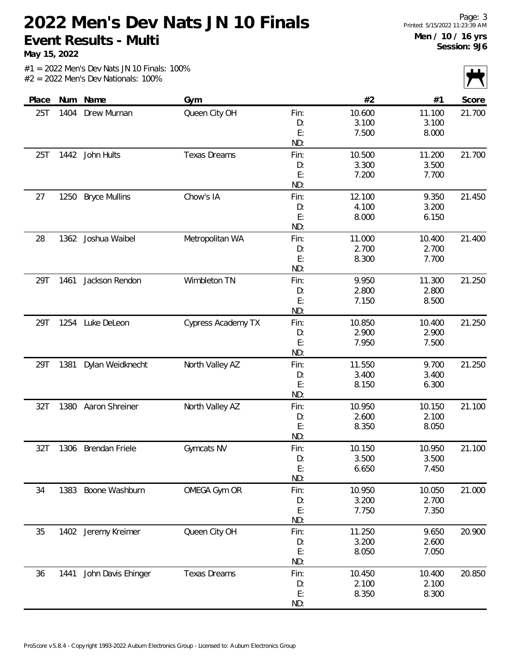**May 15, 2022**

|       |      |                       |                     |      |        |        | $\mathbf{r}$ |
|-------|------|-----------------------|---------------------|------|--------|--------|--------------|
| Place | Num  | Name                  | Gym                 |      | #2     | #1     | Score        |
| 25T   | 1404 | Drew Murnan           | Queen City OH       | Fin: | 10.600 | 11.100 | 21.700       |
|       |      |                       |                     | D:   | 3.100  | 3.100  |              |
|       |      |                       |                     | E:   | 7.500  | 8.000  |              |
|       |      |                       |                     | ND:  |        |        |              |
| 25T   | 1442 | John Hults            | <b>Texas Dreams</b> | Fin: | 10.500 | 11.200 | 21.700       |
|       |      |                       |                     | D:   | 3.300  | 3.500  |              |
|       |      |                       |                     | E:   | 7.200  | 7.700  |              |
|       |      |                       |                     | ND:  |        |        |              |
| 27    | 1250 | <b>Bryce Mullins</b>  | Chow's IA           | Fin: | 12.100 | 9.350  | 21.450       |
|       |      |                       |                     | D:   | 4.100  | 3.200  |              |
|       |      |                       |                     | E:   | 8.000  | 6.150  |              |
|       |      |                       |                     | ND:  |        |        |              |
| 28    | 1362 | Joshua Waibel         | Metropolitan WA     | Fin: | 11.000 | 10.400 | 21.400       |
|       |      |                       |                     | D:   | 2.700  | 2.700  |              |
|       |      |                       |                     | E:   | 8.300  | 7.700  |              |
|       |      |                       |                     | ND:  |        |        |              |
| 29T   | 1461 | Jackson Rendon        | Wimbleton TN        | Fin: | 9.950  | 11.300 | 21.250       |
|       |      |                       |                     | D:   | 2.800  | 2.800  |              |
|       |      |                       |                     | E:   | 7.150  | 8.500  |              |
|       |      |                       |                     | ND:  |        |        |              |
| 29T   | 1254 | Luke DeLeon           | Cypress Academy TX  | Fin: | 10.850 | 10.400 | 21.250       |
|       |      |                       |                     | D:   | 2.900  | 2.900  |              |
|       |      |                       |                     | E:   | 7.950  | 7.500  |              |
|       |      |                       |                     | ND:  |        |        |              |
| 29T   | 1381 | Dylan Weidknecht      | North Valley AZ     | Fin: | 11.550 | 9.700  | 21.250       |
|       |      |                       |                     | D:   | 3.400  | 3.400  |              |
|       |      |                       |                     | E:   | 8.150  | 6.300  |              |
|       |      |                       |                     | ND:  |        |        |              |
| 32T   | 1380 | Aaron Shreiner        | North Valley AZ     | Fin: | 10.950 | 10.150 | 21.100       |
|       |      |                       |                     | D:   | 2.600  | 2.100  |              |
|       |      |                       |                     | E:   | 8.350  | 8.050  |              |
|       |      |                       |                     | ND:  |        |        |              |
| 32T   | 1306 | <b>Brendan Friele</b> | Gymcats NV          | Fin: | 10.150 | 10.950 | 21.100       |
|       |      |                       |                     | D:   | 3.500  | 3.500  |              |
|       |      |                       |                     | E:   | 6.650  | 7.450  |              |
|       |      |                       |                     | ND:  |        |        |              |
| 34    | 1383 | Boone Washburn        | OMEGA Gym OR        | Fin: | 10.950 | 10.050 | 21.000       |
|       |      |                       |                     | D:   | 3.200  | 2.700  |              |
|       |      |                       |                     | E:   | 7.750  | 7.350  |              |
|       |      |                       |                     | ND:  |        |        |              |
| 35    |      | 1402 Jeremy Kreimer   | Queen City OH       | Fin: | 11.250 | 9.650  | 20.900       |
|       |      |                       |                     | D:   | 3.200  | 2.600  |              |
|       |      |                       |                     | E:   | 8.050  | 7.050  |              |
|       |      |                       |                     | ND:  |        |        |              |
| 36    | 1441 | John Davis Ehinger    | <b>Texas Dreams</b> | Fin: | 10.450 | 10.400 | 20.850       |
|       |      |                       |                     | D:   | 2.100  | 2.100  |              |
|       |      |                       |                     | E:   | 8.350  | 8.300  |              |
|       |      |                       |                     | ND:  |        |        |              |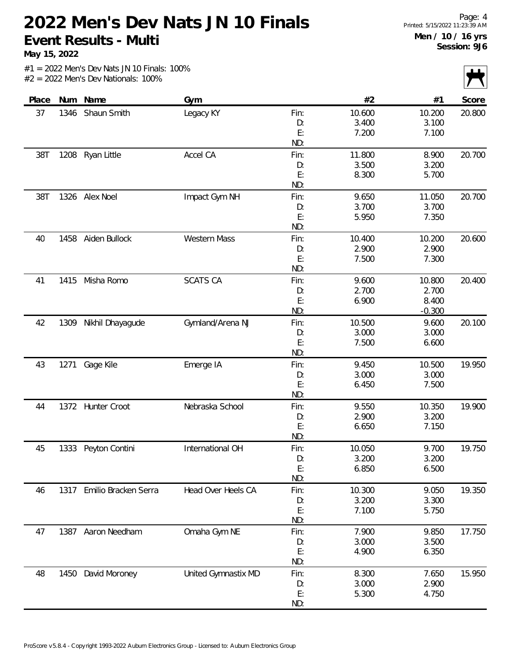**May 15, 2022**

| $\mathbf{r}$<br>$\mathbf{I}$ |          |        |      |                     |                      |      |       |
|------------------------------|----------|--------|------|---------------------|----------------------|------|-------|
| Score                        | #1       | #2     |      | Gym                 | Num Name             |      | Place |
| 20.800                       | 10.200   | 10.600 | Fin: | Legacy KY           | Shaun Smith          | 1346 | 37    |
|                              | 3.100    | 3.400  | D:   |                     |                      |      |       |
|                              | 7.100    | 7.200  | E:   |                     |                      |      |       |
|                              |          |        | ND:  |                     |                      |      |       |
| 20.700                       | 8.900    | 11.800 | Fin: | Accel CA            | Ryan Little          | 1208 | 38T   |
|                              | 3.200    | 3.500  | D:   |                     |                      |      |       |
|                              | 5.700    | 8.300  | E:   |                     |                      |      |       |
|                              |          |        | ND:  |                     |                      |      |       |
| 20.700                       | 11.050   | 9.650  | Fin: | Impact Gym NH       | 1326 Alex Noel       |      | 38T   |
|                              | 3.700    | 3.700  | D:   |                     |                      |      |       |
|                              | 7.350    | 5.950  | E:   |                     |                      |      |       |
|                              |          |        | ND:  |                     |                      |      |       |
| 20.600                       | 10.200   | 10.400 | Fin: | Western Mass        | Aiden Bullock        | 1458 | 40    |
|                              | 2.900    | 2.900  | D:   |                     |                      |      |       |
|                              | 7.300    | 7.500  | E:   |                     |                      |      |       |
|                              |          |        | ND:  |                     |                      |      |       |
| 20.400                       | 10.800   | 9.600  | Fin: | <b>SCATS CA</b>     | Misha Romo           | 1415 | 41    |
|                              | 2.700    | 2.700  | D:   |                     |                      |      |       |
|                              | 8.400    | 6.900  | E:   |                     |                      |      |       |
|                              | $-0.300$ |        | ND:  |                     |                      |      |       |
| 20.100                       | 9.600    | 10.500 | Fin: | Gymland/Arena NJ    | Nikhil Dhayagude     | 1309 | 42    |
|                              | 3.000    | 3.000  | D:   |                     |                      |      |       |
|                              | 6.600    | 7.500  | E:   |                     |                      |      |       |
|                              |          |        | ND:  |                     |                      |      |       |
| 19.950                       | 10.500   | 9.450  | Fin: | Emerge IA           | Gage Kile            | 1271 | 43    |
|                              | 3.000    | 3.000  | D:   |                     |                      |      |       |
|                              | 7.500    | 6.450  | E:   |                     |                      |      |       |
|                              |          |        | ND:  |                     |                      |      |       |
| 19.900                       | 10.350   | 9.550  | Fin: | Nebraska School     | Hunter Croot         | 1372 | 44    |
|                              | 3.200    | 2.900  | D:   |                     |                      |      |       |
|                              | 7.150    | 6.650  | E:   |                     |                      |      |       |
|                              |          |        | ND:  |                     |                      |      |       |
| 19.750                       | 9.700    | 10.050 | Fin: | International OH    | 1333 Peyton Contini  |      | 45    |
|                              | 3.200    | 3.200  | D:   |                     |                      |      |       |
|                              | 6.500    | 6.850  | E:   |                     |                      |      |       |
|                              |          |        | ND:  |                     |                      |      |       |
| 19.350                       | 9.050    | 10.300 | Fin: | Head Over Heels CA  | Emilio Bracken Serra | 1317 | 46    |
|                              | 3.300    | 3.200  | D:   |                     |                      |      |       |
|                              | 5.750    | 7.100  | E:   |                     |                      |      |       |
|                              |          |        | ND:  |                     |                      |      |       |
| 17.750                       | 9.850    | 7.900  | Fin: | Omaha Gym NE        | Aaron Needham        | 1387 | 47    |
|                              | 3.500    | 3.000  | D:   |                     |                      |      |       |
|                              | 6.350    | 4.900  | E:   |                     |                      |      |       |
|                              |          |        | ND:  |                     |                      |      |       |
| 15.950                       | 7.650    | 8.300  | Fin: | United Gymnastix MD | David Moroney        | 1450 | 48    |
|                              | 2.900    | 3.000  | D:   |                     |                      |      |       |
|                              | 4.750    | 5.300  | E:   |                     |                      |      |       |
|                              |          |        | ND:  |                     |                      |      |       |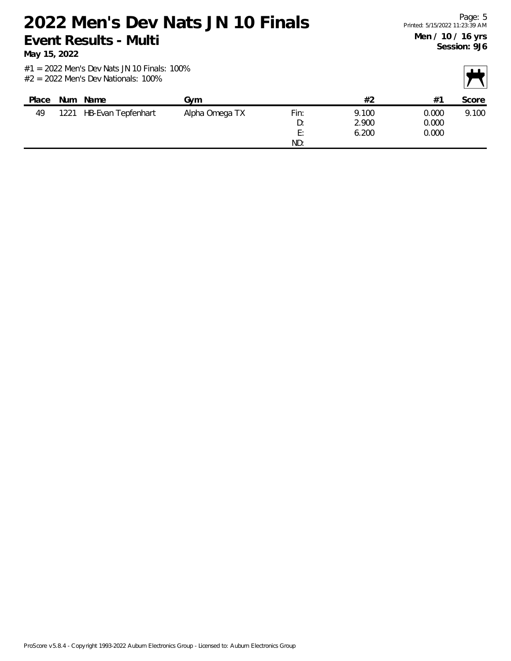**May 15, 2022**

| Place |      | Num Name           | Gvm            |          | #2    | #1    | Score |
|-------|------|--------------------|----------------|----------|-------|-------|-------|
| 49    | 1221 | HB-Evan Tepfenhart | Alpha Omega TX | Fin:     | 9.100 | 0.000 | 9.100 |
|       |      |                    |                | D:       | 2.900 | 0.000 |       |
|       |      |                    |                | F٠<br>L. | 6.200 | 0.000 |       |
|       |      |                    |                | ND:      |       |       |       |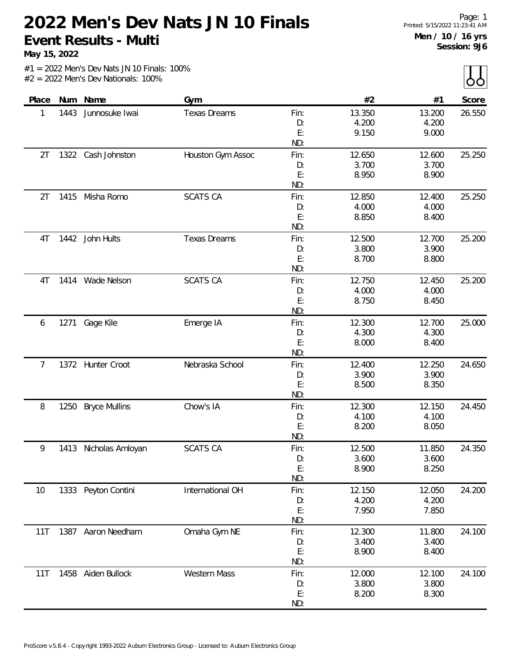**May 15, 2022**

 $\lfloor \cdot \rfloor$ 

|       |      |                       |                     |      |        |        | $\sim$ $\sim$ $\sim$ |
|-------|------|-----------------------|---------------------|------|--------|--------|----------------------|
| Place |      | Num Name              | Gym                 |      | #2     | #1     | Score                |
| 1     | 1443 | Junnosuke Iwai        | <b>Texas Dreams</b> | Fin: | 13.350 | 13.200 | 26.550               |
|       |      |                       |                     | D:   | 4.200  | 4.200  |                      |
|       |      |                       |                     | E:   | 9.150  | 9.000  |                      |
|       |      |                       |                     | ND:  |        |        |                      |
| 2T    |      | 1322 Cash Johnston    | Houston Gym Assoc   | Fin: | 12.650 | 12.600 | 25.250               |
|       |      |                       |                     | D:   | 3.700  | 3.700  |                      |
|       |      |                       |                     | E:   | 8.950  | 8.900  |                      |
|       |      |                       |                     | ND:  |        |        |                      |
| 2T    | 1415 | Misha Romo            | <b>SCATS CA</b>     | Fin: | 12.850 | 12.400 | 25.250               |
|       |      |                       |                     | D:   | 4.000  | 4.000  |                      |
|       |      |                       |                     | E:   | 8.850  | 8.400  |                      |
|       |      |                       |                     | ND:  |        |        |                      |
| 4T    |      | 1442 John Hults       | <b>Texas Dreams</b> | Fin: | 12.500 | 12.700 | 25.200               |
|       |      |                       |                     | D:   | 3.800  | 3.900  |                      |
|       |      |                       |                     | E:   | 8.700  | 8.800  |                      |
|       |      |                       |                     | ND:  |        |        |                      |
| 4T    | 1414 | Wade Nelson           | <b>SCATS CA</b>     | Fin: | 12.750 | 12.450 | 25.200               |
|       |      |                       |                     | D:   | 4.000  | 4.000  |                      |
|       |      |                       |                     | E:   | 8.750  | 8.450  |                      |
|       |      |                       |                     | ND:  |        |        |                      |
| 6     | 1271 | Gage Kile             | Emerge IA           | Fin: | 12.300 | 12.700 | 25.000               |
|       |      |                       |                     | D:   | 4.300  | 4.300  |                      |
|       |      |                       |                     | E:   | 8.000  | 8.400  |                      |
|       |      |                       |                     | ND:  |        |        |                      |
| 7     |      | 1372 Hunter Croot     | Nebraska School     | Fin: | 12.400 | 12.250 | 24.650               |
|       |      |                       |                     | D:   | 3.900  | 3.900  |                      |
|       |      |                       |                     | E:   | 8.500  | 8.350  |                      |
|       |      |                       |                     | ND:  |        |        |                      |
| 8     | 1250 | <b>Bryce Mullins</b>  | Chow's IA           | Fin: | 12.300 | 12.150 | 24.450               |
|       |      |                       |                     | D:   | 4.100  | 4.100  |                      |
|       |      |                       |                     | E:   | 8.200  | 8.050  |                      |
|       |      |                       |                     | ND:  |        |        |                      |
| 9     |      | 1413 Nicholas Amloyan | <b>SCATS CA</b>     | Fin: | 12.500 | 11.850 | 24.350               |
|       |      |                       |                     | D:   | 3.600  | 3.600  |                      |
|       |      |                       |                     | E:   | 8.900  | 8.250  |                      |
|       |      |                       |                     | ND:  |        |        |                      |
| 10    |      | 1333 Peyton Contini   | International OH    | Fin: | 12.150 | 12.050 | 24.200               |
|       |      |                       |                     | D:   | 4.200  | 4.200  |                      |
|       |      |                       |                     | E:   | 7.950  | 7.850  |                      |
|       |      |                       |                     | ND:  |        |        |                      |
| 11T   |      | 1387 Aaron Needham    | Omaha Gym NE        | Fin: | 12.300 | 11.800 | 24.100               |
|       |      |                       |                     | D:   | 3.400  | 3.400  |                      |
|       |      |                       |                     | E:   | 8.900  | 8.400  |                      |
|       |      |                       |                     | ND:  |        |        |                      |
| 11T   |      | 1458 Aiden Bullock    | Western Mass        | Fin: | 12.000 | 12.100 | 24.100               |
|       |      |                       |                     | D:   | 3.800  | 3.800  |                      |
|       |      |                       |                     | E:   | 8.200  | 8.300  |                      |
|       |      |                       |                     | ND:  |        |        |                      |
|       |      |                       |                     |      |        |        |                      |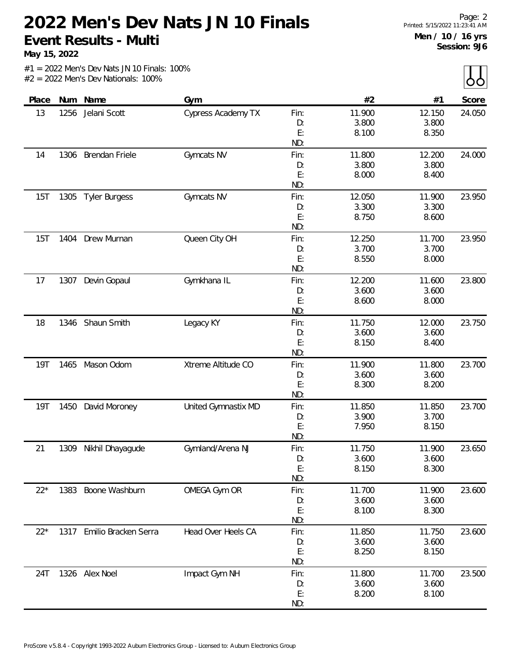**May 15, 2022**

|            |      |                       |                     |          |        |        | $ -$   |
|------------|------|-----------------------|---------------------|----------|--------|--------|--------|
| Place      | Num  | Name                  | Gym                 |          | #2     | #1     | Score  |
| 13         | 1256 | Jelani Scott          | Cypress Academy TX  | Fin:     | 11.900 | 12.150 | 24.050 |
|            |      |                       |                     | D:       | 3.800  | 3.800  |        |
|            |      |                       |                     | E:       | 8.100  | 8.350  |        |
|            |      |                       |                     | ND:      |        |        |        |
| 14         | 1306 | <b>Brendan Friele</b> | Gymcats NV          | Fin:     | 11.800 | 12.200 | 24.000 |
|            |      |                       |                     | D:       | 3.800  | 3.800  |        |
|            |      |                       |                     | E:       | 8.000  | 8.400  |        |
|            |      |                       |                     | ND:      |        |        |        |
| 15T        | 1305 | <b>Tyler Burgess</b>  | Gymcats NV          | Fin:     | 12.050 | 11.900 | 23.950 |
|            |      |                       |                     | D:       | 3.300  | 3.300  |        |
|            |      |                       |                     | E:       | 8.750  | 8.600  |        |
|            |      |                       |                     | ND:      |        |        |        |
| 15T        | 1404 | Drew Murnan           | Queen City OH       | Fin:     | 12.250 | 11.700 | 23.950 |
|            |      |                       |                     | D:       | 3.700  | 3.700  |        |
|            |      |                       |                     | E:       | 8.550  | 8.000  |        |
|            |      |                       |                     | ND:      |        |        |        |
| 17         | 1307 | Devin Gopaul          | Gymkhana IL         | Fin:     | 12.200 | 11.600 | 23.800 |
|            |      |                       |                     | D:       | 3.600  | 3.600  |        |
|            |      |                       |                     | E:       | 8.600  | 8.000  |        |
|            |      |                       |                     | ND:      |        |        |        |
| 18         | 1346 | Shaun Smith           | Legacy KY           | Fin:     | 11.750 | 12.000 | 23.750 |
|            |      |                       |                     | D:       | 3.600  | 3.600  |        |
|            |      |                       |                     | E:       | 8.150  | 8.400  |        |
|            |      |                       |                     | ND:      |        |        |        |
| <b>19T</b> | 1465 | Mason Odom            | Xtreme Altitude CO  | Fin:     | 11.900 | 11.800 | 23.700 |
|            |      |                       |                     | D:       | 3.600  | 3.600  |        |
|            |      |                       |                     | E:       | 8.300  | 8.200  |        |
|            |      |                       |                     | ND:      |        |        |        |
| <b>19T</b> | 1450 | David Moroney         | United Gymnastix MD | Fin:     | 11.850 | 11.850 | 23.700 |
|            |      |                       |                     | D:       | 3.900  | 3.700  |        |
|            |      |                       |                     | E:       | 7.950  | 8.150  |        |
|            |      |                       |                     | ND:      |        |        |        |
| 21         | 1309 | Nikhil Dhayagude      | Gymland/Arena NJ    | Fin:     | 11.750 | 11.900 | 23.650 |
|            |      |                       |                     | D:       | 3.600  | 3.600  |        |
|            |      |                       |                     | E:       | 8.150  | 8.300  |        |
|            |      |                       |                     | ND:      |        |        |        |
| $22*$      |      | 1383 Boone Washburn   | OMEGA Gym OR        | Fin:     | 11.700 | 11.900 | 23.600 |
|            |      |                       |                     | D:<br>E: | 3.600  | 3.600  |        |
|            |      |                       |                     | ND:      | 8.100  | 8.300  |        |
| $22*$      | 1317 | Emilio Bracken Serra  | Head Over Heels CA  | Fin:     | 11.850 | 11.750 | 23.600 |
|            |      |                       |                     | D:       | 3.600  | 3.600  |        |
|            |      |                       |                     | E:       | 8.250  | 8.150  |        |
|            |      |                       |                     | ND:      |        |        |        |
| 24T        |      | 1326 Alex Noel        | Impact Gym NH       | Fin:     | 11.800 | 11.700 | 23.500 |
|            |      |                       |                     | D:       | 3.600  | 3.600  |        |
|            |      |                       |                     | E:       | 8.200  | 8.100  |        |
|            |      |                       |                     | ND:      |        |        |        |
|            |      |                       |                     |          |        |        |        |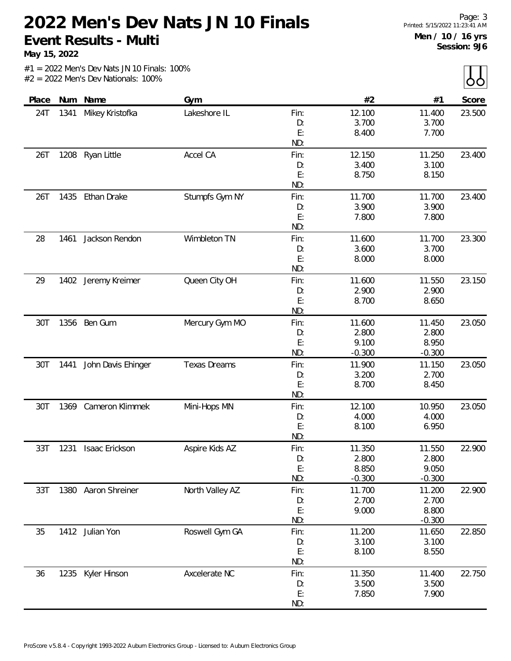**May 15, 2022**

|  |  |  | $#1 = 2022$ Men's Dev Nats JN 10 Finals: 100% |  |
|--|--|--|-----------------------------------------------|--|
|  |  |  | $#2 = 2022$ Men's Dev Nationals: 100%         |  |

| Place | Num  | Name                | Gym                 |           | #2             | #1                | Score  |
|-------|------|---------------------|---------------------|-----------|----------------|-------------------|--------|
| 24T   | 1341 | Mikey Kristofka     | Lakeshore IL        | Fin:      | 12.100         | 11.400            | 23.500 |
|       |      |                     |                     | D:        | 3.700          | 3.700             |        |
|       |      |                     |                     | E:        | 8.400          | 7.700             |        |
|       |      |                     |                     | ND:       |                |                   |        |
| 26T   |      | 1208 Ryan Little    | Accel CA            | Fin:      | 12.150         | 11.250            | 23.400 |
|       |      |                     |                     | D:        | 3.400          | 3.100             |        |
|       |      |                     |                     | E:        | 8.750          | 8.150             |        |
|       |      |                     |                     | ND:       |                |                   |        |
| 26T   | 1435 | Ethan Drake         | Stumpfs Gym NY      | Fin:      | 11.700         | 11.700            | 23.400 |
|       |      |                     |                     | D:        | 3.900          | 3.900             |        |
|       |      |                     |                     | E:<br>ND: | 7.800          | 7.800             |        |
| 28    | 1461 | Jackson Rendon      | Wimbleton TN        | Fin:      | 11.600         | 11.700            | 23.300 |
|       |      |                     |                     | D:        | 3.600          | 3.700             |        |
|       |      |                     |                     | E:        | 8.000          | 8.000             |        |
|       |      |                     |                     | ND:       |                |                   |        |
| 29    | 1402 | Jeremy Kreimer      | Queen City OH       | Fin:      | 11.600         | 11.550            | 23.150 |
|       |      |                     |                     | D:        | 2.900          | 2.900             |        |
|       |      |                     |                     | E:        | 8.700          | 8.650             |        |
|       |      |                     |                     | ND:       |                |                   |        |
| 30T   |      | 1356 Ben Gum        | Mercury Gym MO      | Fin:      | 11.600         | 11.450            | 23.050 |
|       |      |                     |                     | D:        | 2.800          | 2.800             |        |
|       |      |                     |                     | E:        | 9.100          | 8.950             |        |
|       |      |                     |                     | ND:       | $-0.300$       | $-0.300$          |        |
| 30T   | 1441 | John Davis Ehinger  | <b>Texas Dreams</b> | Fin:      | 11.900         | 11.150            | 23.050 |
|       |      |                     |                     | D:<br>E:  | 3.200<br>8.700 | 2.700<br>8.450    |        |
|       |      |                     |                     | ND:       |                |                   |        |
| 30T   | 1369 | Cameron Klimmek     | Mini-Hops MN        | Fin:      | 12.100         | 10.950            | 23.050 |
|       |      |                     |                     | D:        | 4.000          | 4.000             |        |
|       |      |                     |                     | E:        | 8.100          | 6.950             |        |
|       |      |                     |                     | ND:       |                |                   |        |
| 33T   | 1231 | Isaac Erickson      | Aspire Kids AZ      | Fin:      | 11.350         | 11.550            | 22.900 |
|       |      |                     |                     | D:        | 2.800          | 2.800             |        |
|       |      |                     |                     | E:        | 8.850          | 9.050             |        |
|       |      |                     |                     | ND:       | $-0.300$       | $-0.300$          |        |
| 33T   |      | 1380 Aaron Shreiner | North Valley AZ     | Fin:      | 11.700         | 11.200            | 22.900 |
|       |      |                     |                     | D:        | 2.700          | 2.700             |        |
|       |      |                     |                     | E:<br>ND: | 9.000          | 8.800<br>$-0.300$ |        |
| 35    |      | 1412 Julian Yon     | Roswell Gym GA      | Fin:      | 11.200         | 11.650            | 22.850 |
|       |      |                     |                     | D:        | 3.100          | 3.100             |        |
|       |      |                     |                     | E:        | 8.100          | 8.550             |        |
|       |      |                     |                     | ND:       |                |                   |        |
| 36    | 1235 | Kyler Hinson        | Axcelerate NC       | Fin:      | 11.350         | 11.400            | 22.750 |
|       |      |                     |                     | D:        | 3.500          | 3.500             |        |
|       |      |                     |                     | E:        | 7.850          | 7.900             |        |
|       |      |                     |                     | ND:       |                |                   |        |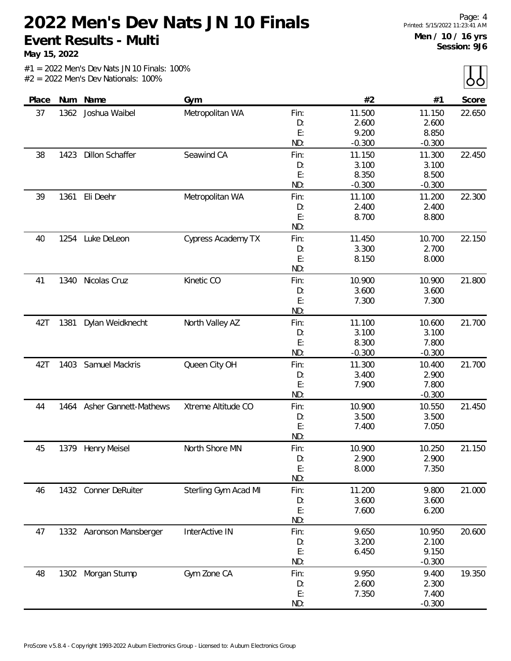**May 15, 2022**

 $\prod_{\Delta}$ 

|       |      |                          |                           |      |          |          | $\frac{1}{1}$ |
|-------|------|--------------------------|---------------------------|------|----------|----------|---------------|
| Place | Num  | Name                     | Gym                       |      | #2       | #1       | Score         |
| 37    | 1362 | Joshua Waibel            | Metropolitan WA           | Fin: | 11.500   | 11.150   | 22.650        |
|       |      |                          |                           | D:   | 2.600    | 2.600    |               |
|       |      |                          |                           | E:   | 9.200    | 8.850    |               |
|       |      |                          |                           | ND:  | $-0.300$ | $-0.300$ |               |
| 38    | 1423 | <b>Dillon Schaffer</b>   | Seawind CA                | Fin: | 11.150   | 11.300   | 22.450        |
|       |      |                          |                           | D:   | 3.100    | 3.100    |               |
|       |      |                          |                           | E:   | 8.350    | 8.500    |               |
|       |      |                          |                           | ND:  | $-0.300$ | $-0.300$ |               |
| 39    | 1361 | Eli Deehr                | Metropolitan WA           | Fin: | 11.100   | 11.200   | 22.300        |
|       |      |                          |                           | D:   | 2.400    | 2.400    |               |
|       |      |                          |                           | E:   | 8.700    | 8.800    |               |
|       |      |                          |                           | ND:  |          |          |               |
| 40    | 1254 | Luke DeLeon              | <b>Cypress Academy TX</b> | Fin: | 11.450   | 10.700   | 22.150        |
|       |      |                          |                           | D:   | 3.300    | 2.700    |               |
|       |      |                          |                           | E:   | 8.150    | 8.000    |               |
|       |      |                          |                           | ND:  |          |          |               |
| 41    | 1340 | Nicolas Cruz             | Kinetic CO                | Fin: | 10.900   | 10.900   | 21.800        |
|       |      |                          |                           | D:   | 3.600    | 3.600    |               |
|       |      |                          |                           | E:   | 7.300    | 7.300    |               |
|       |      |                          |                           | ND:  |          |          |               |
| 42T   | 1381 | Dylan Weidknecht         | North Valley AZ           | Fin: | 11.100   | 10.600   | 21.700        |
|       |      |                          |                           | D:   | 3.100    | 3.100    |               |
|       |      |                          |                           | E:   | 8.300    | 7.800    |               |
|       |      |                          |                           | ND:  | $-0.300$ | $-0.300$ |               |
| 42T   | 1403 | Samuel Mackris           | Queen City OH             | Fin: | 11.300   | 10.400   | 21.700        |
|       |      |                          |                           | D:   | 3.400    | 2.900    |               |
|       |      |                          |                           | E:   | 7.900    | 7.800    |               |
|       |      |                          |                           | ND:  |          | $-0.300$ |               |
| 44    | 1464 | Asher Gannett-Mathews    | Xtreme Altitude CO        | Fin: | 10.900   | 10.550   | 21.450        |
|       |      |                          |                           | D:   | 3.500    | 3.500    |               |
|       |      |                          |                           | E:   | 7.400    | 7.050    |               |
|       |      |                          |                           | ND:  |          |          |               |
| 45    |      | 1379 Henry Meisel        | North Shore MN            | Fin: | 10.900   | 10.250   | 21.150        |
|       |      |                          |                           | D:   | 2.900    | 2.900    |               |
|       |      |                          |                           | E:   | 8.000    | 7.350    |               |
|       |      |                          |                           | ND:  |          |          |               |
| 46    |      | 1432 Conner DeRuiter     | Sterling Gym Acad MI      | Fin: | 11.200   | 9.800    | 21.000        |
|       |      |                          |                           | D:   | 3.600    | 3.600    |               |
|       |      |                          |                           | E:   | 7.600    | 6.200    |               |
|       |      |                          |                           | ND:  |          |          |               |
| 47    |      | 1332 Aaronson Mansberger | InterActive IN            | Fin: | 9.650    | 10.950   | 20.600        |
|       |      |                          |                           | D:   | 3.200    | 2.100    |               |
|       |      |                          |                           | E:   | 6.450    | 9.150    |               |
|       |      |                          |                           | ND:  |          | $-0.300$ |               |
| 48    |      | 1302 Morgan Stump        | Gym Zone CA               | Fin: | 9.950    | 9.400    | 19.350        |
|       |      |                          |                           | D:   | 2.600    | 2.300    |               |
|       |      |                          |                           | E:   | 7.350    | 7.400    |               |
|       |      |                          |                           | ND:  |          | $-0.300$ |               |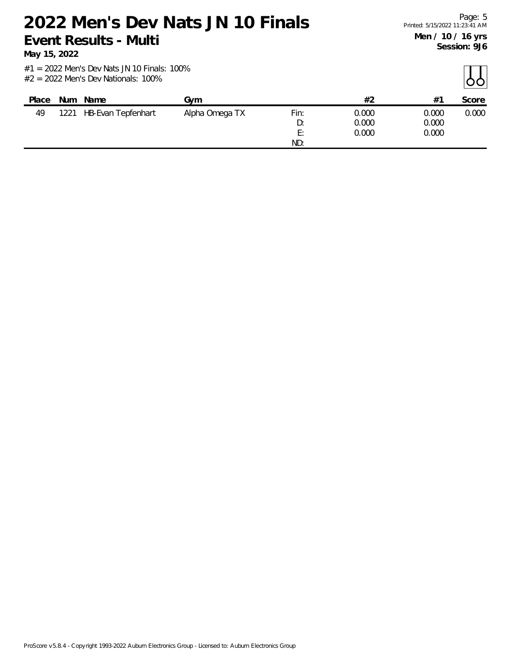**May 15, 2022**

| Place | <b>Num</b> | Name                      | Gvm            |                       | #2             | $#^{\bullet}$  | Score |
|-------|------------|---------------------------|----------------|-----------------------|----------------|----------------|-------|
| 49    | 1221       | <b>HB-Evan Tepfenhart</b> | Alpha Omega TX | Fin:<br>D:            | 0.000<br>0.000 | 0.000<br>0.000 | 0.000 |
|       |            |                           |                | F٠<br><u>.</u><br>ND: | 0.000          | 0.000          |       |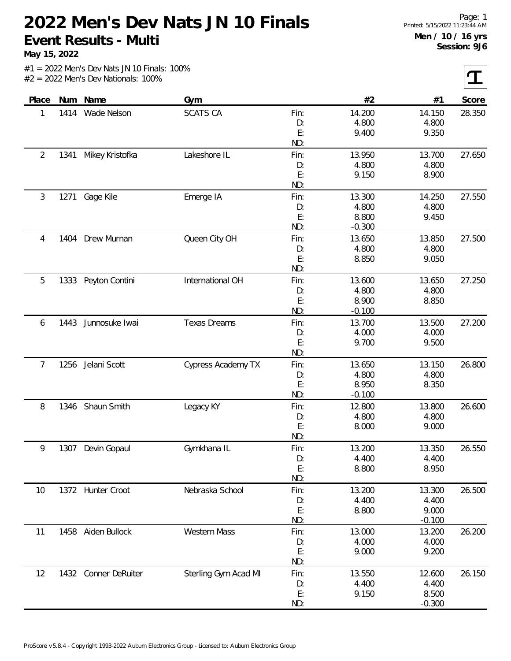**May 15, 2022**

 $|\boldsymbol{\tau}|$ 

| Place |      | Num Name          | Gym                  |           | #2                | #1              | Score  |
|-------|------|-------------------|----------------------|-----------|-------------------|-----------------|--------|
| 1     | 1414 | Wade Nelson       | <b>SCATS CA</b>      | Fin:      | 14.200            | 14.150          | 28.350 |
|       |      |                   |                      | D:        | 4.800             | 4.800           |        |
|       |      |                   |                      | E:        | 9.400             | 9.350           |        |
|       |      |                   |                      | ND:       |                   |                 |        |
| 2     | 1341 | Mikey Kristofka   | Lakeshore IL         | Fin:      | 13.950            | 13.700          | 27.650 |
|       |      |                   |                      | D:        | 4.800             | 4.800           |        |
|       |      |                   |                      | E:        | 9.150             | 8.900           |        |
|       |      |                   |                      | ND:       |                   |                 |        |
| 3     | 1271 | Gage Kile         | Emerge IA            | Fin:      | 13.300            | 14.250          | 27.550 |
|       |      |                   |                      | D:        | 4.800             | 4.800           |        |
|       |      |                   |                      | E:        | 8.800             | 9.450           |        |
|       |      |                   |                      | ND:       | $-0.300$          |                 |        |
| 4     | 1404 | Drew Murnan       | Queen City OH        | Fin:      | 13.650            | 13.850          | 27.500 |
|       |      |                   |                      | D:        | 4.800             | 4.800           |        |
|       |      |                   |                      | E:        | 8.850             | 9.050           |        |
|       |      |                   |                      | ND:       |                   |                 |        |
| 5     | 1333 | Peyton Contini    | International OH     | Fin:      | 13.600            | 13.650          | 27.250 |
|       |      |                   |                      | D:        | 4.800             | 4.800           |        |
|       |      |                   |                      | E:        | 8.900             | 8.850           |        |
|       |      |                   |                      | ND:       | $-0.100$          |                 |        |
| 6     | 1443 | Junnosuke Iwai    | <b>Texas Dreams</b>  | Fin:      | 13.700            | 13.500          | 27.200 |
|       |      |                   |                      | D:        | 4.000             | 4.000           |        |
|       |      |                   |                      | E:        | 9.700             | 9.500           |        |
|       |      |                   |                      | ND:       |                   |                 |        |
| 7     | 1256 | Jelani Scott      | Cypress Academy TX   | Fin:      | 13.650            | 13.150          | 26.800 |
|       |      |                   |                      | D:        | 4.800             | 4.800           |        |
|       |      |                   |                      | E:<br>ND: | 8.950<br>$-0.100$ | 8.350           |        |
|       |      |                   |                      |           | 12.800            |                 | 26.600 |
| 8     | 1346 | Shaun Smith       | Legacy KY            | Fin:      | 4.800             | 13.800<br>4.800 |        |
|       |      |                   |                      | D:<br>E:  | 8.000             | 9.000           |        |
|       |      |                   |                      | ND:       |                   |                 |        |
| 9     | 1307 | Devin Gopaul      | Gymkhana IL          | Fin:      | 13.200            | 13.350          | 26.550 |
|       |      |                   |                      | D:        | 4.400             | 4.400           |        |
|       |      |                   |                      | E:        | 8.800             | 8.950           |        |
|       |      |                   |                      | ND:       |                   |                 |        |
| 10    |      | 1372 Hunter Croot | Nebraska School      | Fin:      | 13.200            | 13.300          | 26.500 |
|       |      |                   |                      | D:        | 4.400             | 4.400           |        |
|       |      |                   |                      | E:        | 8.800             | 9.000           |        |
|       |      |                   |                      | ND:       |                   | $-0.100$        |        |
| 11    | 1458 | Aiden Bullock     | Western Mass         | Fin:      | 13.000            | 13.200          | 26.200 |
|       |      |                   |                      | D:        | 4.000             | 4.000           |        |
|       |      |                   |                      | E:        | 9.000             | 9.200           |        |
|       |      |                   |                      | ND:       |                   |                 |        |
| 12    | 1432 | Conner DeRuiter   | Sterling Gym Acad MI | Fin:      | 13.550            | 12.600          | 26.150 |
|       |      |                   |                      | D:        | 4.400             | 4.400           |        |
|       |      |                   |                      | E:        | 9.150             | 8.500           |        |
|       |      |                   |                      | ND:       |                   | $-0.300$        |        |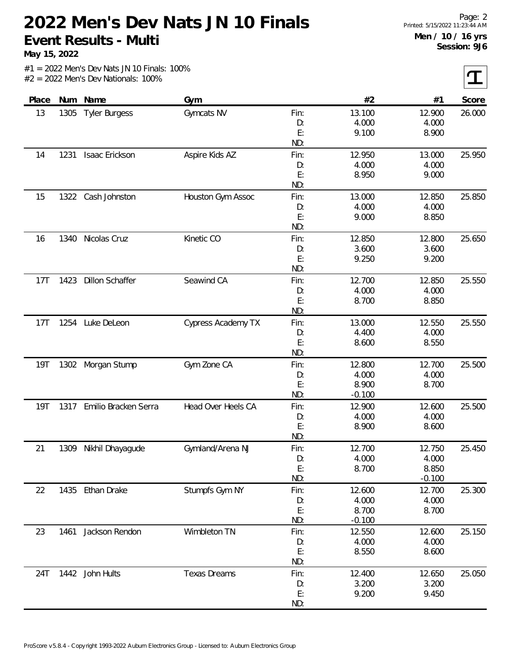**May 15, 2022**

 $|\mathbf{T}|$ 

| #2<br>Place<br>Num<br>Name<br>#1<br>Gym<br>Gymcats NV<br>13<br>1305<br><b>Tyler Burgess</b><br>Fin:<br>13.100<br>12.900<br>4.000<br>4.000<br>D:<br>E:<br>9.100<br>8.900<br>ND:<br>1231<br>Isaac Erickson<br>Aspire Kids AZ<br>Fin:<br>12.950<br>13.000<br>14<br>4.000<br>4.000<br>D:<br>E:<br>9.000<br>8.950<br>ND:<br>1322<br>Cash Johnston<br>Houston Gym Assoc<br>13.000<br>15<br>Fin:<br>12.850<br>4.000<br>4.000<br>D:<br>E:<br>9.000<br>8.850<br>ND:<br>Nicolas Cruz<br>Kinetic CO<br>12.850<br>12.800<br>1340<br>Fin:<br>16<br>3.600<br>3.600<br>D:<br>E:<br>9.250<br>9.200<br>ND:<br>Seawind CA<br><b>Dillon Schaffer</b><br>12.700<br>12.850<br>17T<br>1423<br>Fin:<br>4.000<br>4.000<br>D:<br>E:<br>8.700<br>8.850<br>ND:<br>Luke DeLeon<br>Cypress Academy TX<br>17T<br>1254<br>Fin:<br>13.000<br>12.550<br>4.400<br>4.000<br>D:<br>E:<br>8.600<br>8.550<br>ND:<br><b>19T</b><br>Morgan Stump<br>Gym Zone CA<br>12.800<br>12.700<br>1302<br>Fin:<br>4.000<br>4.000<br>D:<br>E:<br>8.900<br>8.700<br>ND:<br>$-0.100$ | Score<br>26.000<br>25.950<br>25.850<br>25.650 |
|--------------------------------------------------------------------------------------------------------------------------------------------------------------------------------------------------------------------------------------------------------------------------------------------------------------------------------------------------------------------------------------------------------------------------------------------------------------------------------------------------------------------------------------------------------------------------------------------------------------------------------------------------------------------------------------------------------------------------------------------------------------------------------------------------------------------------------------------------------------------------------------------------------------------------------------------------------------------------------------------------------------------------------|-----------------------------------------------|
|                                                                                                                                                                                                                                                                                                                                                                                                                                                                                                                                                                                                                                                                                                                                                                                                                                                                                                                                                                                                                                |                                               |
|                                                                                                                                                                                                                                                                                                                                                                                                                                                                                                                                                                                                                                                                                                                                                                                                                                                                                                                                                                                                                                |                                               |
|                                                                                                                                                                                                                                                                                                                                                                                                                                                                                                                                                                                                                                                                                                                                                                                                                                                                                                                                                                                                                                |                                               |
|                                                                                                                                                                                                                                                                                                                                                                                                                                                                                                                                                                                                                                                                                                                                                                                                                                                                                                                                                                                                                                |                                               |
|                                                                                                                                                                                                                                                                                                                                                                                                                                                                                                                                                                                                                                                                                                                                                                                                                                                                                                                                                                                                                                |                                               |
|                                                                                                                                                                                                                                                                                                                                                                                                                                                                                                                                                                                                                                                                                                                                                                                                                                                                                                                                                                                                                                |                                               |
|                                                                                                                                                                                                                                                                                                                                                                                                                                                                                                                                                                                                                                                                                                                                                                                                                                                                                                                                                                                                                                |                                               |
|                                                                                                                                                                                                                                                                                                                                                                                                                                                                                                                                                                                                                                                                                                                                                                                                                                                                                                                                                                                                                                |                                               |
|                                                                                                                                                                                                                                                                                                                                                                                                                                                                                                                                                                                                                                                                                                                                                                                                                                                                                                                                                                                                                                |                                               |
|                                                                                                                                                                                                                                                                                                                                                                                                                                                                                                                                                                                                                                                                                                                                                                                                                                                                                                                                                                                                                                |                                               |
|                                                                                                                                                                                                                                                                                                                                                                                                                                                                                                                                                                                                                                                                                                                                                                                                                                                                                                                                                                                                                                |                                               |
|                                                                                                                                                                                                                                                                                                                                                                                                                                                                                                                                                                                                                                                                                                                                                                                                                                                                                                                                                                                                                                |                                               |
|                                                                                                                                                                                                                                                                                                                                                                                                                                                                                                                                                                                                                                                                                                                                                                                                                                                                                                                                                                                                                                |                                               |
|                                                                                                                                                                                                                                                                                                                                                                                                                                                                                                                                                                                                                                                                                                                                                                                                                                                                                                                                                                                                                                |                                               |
|                                                                                                                                                                                                                                                                                                                                                                                                                                                                                                                                                                                                                                                                                                                                                                                                                                                                                                                                                                                                                                |                                               |
|                                                                                                                                                                                                                                                                                                                                                                                                                                                                                                                                                                                                                                                                                                                                                                                                                                                                                                                                                                                                                                |                                               |
|                                                                                                                                                                                                                                                                                                                                                                                                                                                                                                                                                                                                                                                                                                                                                                                                                                                                                                                                                                                                                                |                                               |
|                                                                                                                                                                                                                                                                                                                                                                                                                                                                                                                                                                                                                                                                                                                                                                                                                                                                                                                                                                                                                                | 25.550                                        |
|                                                                                                                                                                                                                                                                                                                                                                                                                                                                                                                                                                                                                                                                                                                                                                                                                                                                                                                                                                                                                                |                                               |
|                                                                                                                                                                                                                                                                                                                                                                                                                                                                                                                                                                                                                                                                                                                                                                                                                                                                                                                                                                                                                                |                                               |
|                                                                                                                                                                                                                                                                                                                                                                                                                                                                                                                                                                                                                                                                                                                                                                                                                                                                                                                                                                                                                                |                                               |
|                                                                                                                                                                                                                                                                                                                                                                                                                                                                                                                                                                                                                                                                                                                                                                                                                                                                                                                                                                                                                                | 25.550                                        |
|                                                                                                                                                                                                                                                                                                                                                                                                                                                                                                                                                                                                                                                                                                                                                                                                                                                                                                                                                                                                                                |                                               |
|                                                                                                                                                                                                                                                                                                                                                                                                                                                                                                                                                                                                                                                                                                                                                                                                                                                                                                                                                                                                                                |                                               |
|                                                                                                                                                                                                                                                                                                                                                                                                                                                                                                                                                                                                                                                                                                                                                                                                                                                                                                                                                                                                                                |                                               |
|                                                                                                                                                                                                                                                                                                                                                                                                                                                                                                                                                                                                                                                                                                                                                                                                                                                                                                                                                                                                                                | 25.500                                        |
|                                                                                                                                                                                                                                                                                                                                                                                                                                                                                                                                                                                                                                                                                                                                                                                                                                                                                                                                                                                                                                |                                               |
|                                                                                                                                                                                                                                                                                                                                                                                                                                                                                                                                                                                                                                                                                                                                                                                                                                                                                                                                                                                                                                |                                               |
|                                                                                                                                                                                                                                                                                                                                                                                                                                                                                                                                                                                                                                                                                                                                                                                                                                                                                                                                                                                                                                |                                               |
| Emilio Bracken Serra<br>Head Over Heels CA<br><b>19T</b><br>1317<br>12.900<br>12.600<br>Fin:                                                                                                                                                                                                                                                                                                                                                                                                                                                                                                                                                                                                                                                                                                                                                                                                                                                                                                                                   | 25.500                                        |
| 4.000<br>4.000<br>D:                                                                                                                                                                                                                                                                                                                                                                                                                                                                                                                                                                                                                                                                                                                                                                                                                                                                                                                                                                                                           |                                               |
| E:<br>8.600<br>8.900                                                                                                                                                                                                                                                                                                                                                                                                                                                                                                                                                                                                                                                                                                                                                                                                                                                                                                                                                                                                           |                                               |
| ND:                                                                                                                                                                                                                                                                                                                                                                                                                                                                                                                                                                                                                                                                                                                                                                                                                                                                                                                                                                                                                            |                                               |
| 12.700<br>21<br>1309<br>Nikhil Dhayagude<br>Gymland/Arena NJ<br>Fin:<br>12.750                                                                                                                                                                                                                                                                                                                                                                                                                                                                                                                                                                                                                                                                                                                                                                                                                                                                                                                                                 | 25.450                                        |
| 4.000<br>4.000<br>D:                                                                                                                                                                                                                                                                                                                                                                                                                                                                                                                                                                                                                                                                                                                                                                                                                                                                                                                                                                                                           |                                               |
| E:<br>8.850<br>8.700                                                                                                                                                                                                                                                                                                                                                                                                                                                                                                                                                                                                                                                                                                                                                                                                                                                                                                                                                                                                           |                                               |
| ND:<br>$-0.100$                                                                                                                                                                                                                                                                                                                                                                                                                                                                                                                                                                                                                                                                                                                                                                                                                                                                                                                                                                                                                |                                               |
| 1435 Ethan Drake<br>Stumpfs Gym NY<br>Fin:<br>12.600<br>12.700<br>22                                                                                                                                                                                                                                                                                                                                                                                                                                                                                                                                                                                                                                                                                                                                                                                                                                                                                                                                                           | 25.300                                        |
| 4.000<br>4.000<br>D:                                                                                                                                                                                                                                                                                                                                                                                                                                                                                                                                                                                                                                                                                                                                                                                                                                                                                                                                                                                                           |                                               |
| E:<br>8.700<br>8.700                                                                                                                                                                                                                                                                                                                                                                                                                                                                                                                                                                                                                                                                                                                                                                                                                                                                                                                                                                                                           |                                               |
| ND:<br>$-0.100$                                                                                                                                                                                                                                                                                                                                                                                                                                                                                                                                                                                                                                                                                                                                                                                                                                                                                                                                                                                                                |                                               |
| Wimbleton TN<br>Jackson Rendon<br>12.600<br>23<br>1461<br>Fin:<br>12.550                                                                                                                                                                                                                                                                                                                                                                                                                                                                                                                                                                                                                                                                                                                                                                                                                                                                                                                                                       | 25.150                                        |
| 4.000<br>4.000<br>D:                                                                                                                                                                                                                                                                                                                                                                                                                                                                                                                                                                                                                                                                                                                                                                                                                                                                                                                                                                                                           |                                               |
| E:<br>8.600<br>8.550                                                                                                                                                                                                                                                                                                                                                                                                                                                                                                                                                                                                                                                                                                                                                                                                                                                                                                                                                                                                           |                                               |
| ND:                                                                                                                                                                                                                                                                                                                                                                                                                                                                                                                                                                                                                                                                                                                                                                                                                                                                                                                                                                                                                            |                                               |
| 1442 John Hults<br><b>Texas Dreams</b><br>12.400<br>12.650<br>24T<br>Fin:                                                                                                                                                                                                                                                                                                                                                                                                                                                                                                                                                                                                                                                                                                                                                                                                                                                                                                                                                      |                                               |
| 3.200<br>3.200<br>D:                                                                                                                                                                                                                                                                                                                                                                                                                                                                                                                                                                                                                                                                                                                                                                                                                                                                                                                                                                                                           | 25.050                                        |
| E:<br>9.200<br>9.450                                                                                                                                                                                                                                                                                                                                                                                                                                                                                                                                                                                                                                                                                                                                                                                                                                                                                                                                                                                                           |                                               |
|                                                                                                                                                                                                                                                                                                                                                                                                                                                                                                                                                                                                                                                                                                                                                                                                                                                                                                                                                                                                                                |                                               |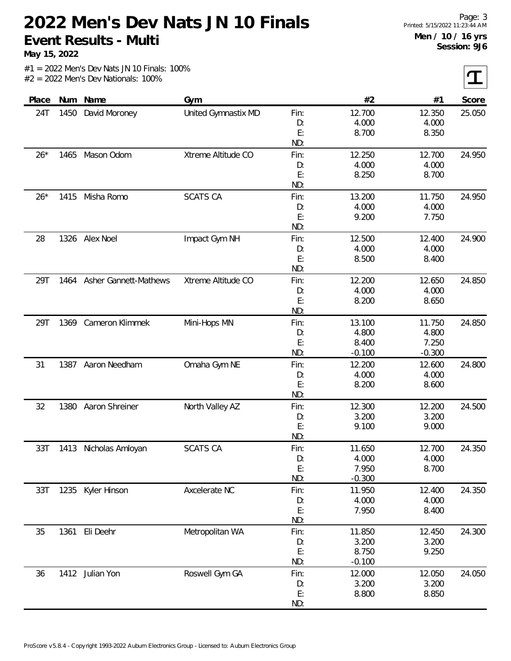**May 15, 2022**

 $\mathbf T$ 

|  | $#1 = 2022$ Men's Dev Nats JN 10 Finals: 100% |  |
|--|-----------------------------------------------|--|
|  | $#2 = 2022$ Men's Dev Nationals: 100%         |  |

| Place | Num  | Name                  | Gym                 |      | #2       | #1       | Score  |
|-------|------|-----------------------|---------------------|------|----------|----------|--------|
| 24T   | 1450 | David Moroney         | United Gymnastix MD | Fin: | 12.700   | 12.350   | 25.050 |
|       |      |                       |                     | D:   | 4.000    | 4.000    |        |
|       |      |                       |                     | E:   | 8.700    | 8.350    |        |
|       |      |                       |                     | ND:  |          |          |        |
| $26*$ |      | 1465 Mason Odom       | Xtreme Altitude CO  | Fin: | 12.250   | 12.700   | 24.950 |
|       |      |                       |                     | D:   | 4.000    | 4.000    |        |
|       |      |                       |                     | E:   | 8.250    | 8.700    |        |
|       |      |                       |                     | ND:  |          |          |        |
| $26*$ | 1415 | Misha Romo            | <b>SCATS CA</b>     | Fin: | 13.200   | 11.750   | 24.950 |
|       |      |                       |                     | D:   | 4.000    | 4.000    |        |
|       |      |                       |                     | E:   | 9.200    | 7.750    |        |
|       |      |                       |                     | ND:  |          |          |        |
| 28    |      | 1326 Alex Noel        | Impact Gym NH       | Fin: | 12.500   | 12.400   | 24.900 |
|       |      |                       |                     | D:   | 4.000    | 4.000    |        |
|       |      |                       |                     | E:   | 8.500    | 8.400    |        |
|       |      |                       |                     | ND:  |          |          |        |
| 29T   | 1464 | Asher Gannett-Mathews | Xtreme Altitude CO  | Fin: | 12.200   | 12.650   | 24.850 |
|       |      |                       |                     | D:   | 4.000    | 4.000    |        |
|       |      |                       |                     | E:   | 8.200    | 8.650    |        |
|       |      |                       |                     | ND:  |          |          |        |
| 29T   | 1369 | Cameron Klimmek       | Mini-Hops MN        | Fin: | 13.100   | 11.750   | 24.850 |
|       |      |                       |                     | D:   | 4.800    | 4.800    |        |
|       |      |                       |                     | E:   | 8.400    | 7.250    |        |
|       |      |                       |                     | ND:  | $-0.100$ | $-0.300$ |        |
| 31    | 1387 | Aaron Needham         | Omaha Gym NE        | Fin: | 12.200   | 12.600   | 24.800 |
|       |      |                       |                     | D:   | 4.000    | 4.000    |        |
|       |      |                       |                     | E:   | 8.200    | 8.600    |        |
|       |      |                       |                     | ND:  |          |          |        |
| 32    | 1380 | Aaron Shreiner        | North Valley AZ     | Fin: | 12.300   | 12.200   | 24.500 |
|       |      |                       |                     | D:   | 3.200    | 3.200    |        |
|       |      |                       |                     | E:   | 9.100    | 9.000    |        |
|       |      |                       |                     | ND:  |          |          |        |
| 33T   | 1413 | Nicholas Amloyan      | <b>SCATS CA</b>     | Fin: | 11.650   | 12.700   | 24.350 |
|       |      |                       |                     | D:   | 4.000    | 4.000    |        |
|       |      |                       |                     | E:   | 7.950    | 8.700    |        |
|       |      |                       |                     | ND:  | $-0.300$ |          |        |
| 33T   |      | 1235 Kyler Hinson     | Axcelerate NC       | Fin: | 11.950   | 12.400   | 24.350 |
|       |      |                       |                     | D:   | 4.000    | 4.000    |        |
|       |      |                       |                     | E:   | 7.950    | 8.400    |        |
|       |      |                       |                     | ND:  |          |          |        |
| 35    | 1361 | Eli Deehr             | Metropolitan WA     | Fin: | 11.850   | 12.450   | 24.300 |
|       |      |                       |                     | D:   | 3.200    | 3.200    |        |
|       |      |                       |                     | E:   | 8.750    | 9.250    |        |
|       |      |                       |                     | ND:  | $-0.100$ |          |        |
| 36    |      | 1412 Julian Yon       | Roswell Gym GA      | Fin: | 12.000   | 12.050   | 24.050 |
|       |      |                       |                     | D:   | 3.200    | 3.200    |        |
|       |      |                       |                     | E:   | 8.800    | 8.850    |        |
|       |      |                       |                     | ND:  |          |          |        |
|       |      |                       |                     |      |          |          |        |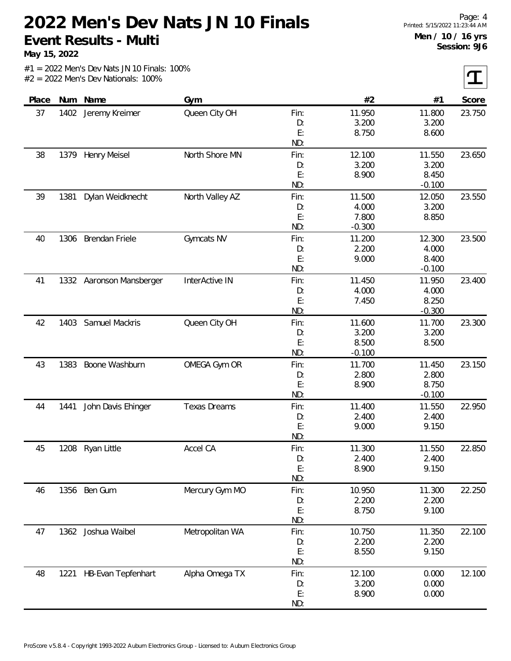**May 15, 2022**

 $|\boldsymbol{\tau}|$ 

| Place |      | Num Name                 | Gym                 |      | #2       | #1       | Score  |
|-------|------|--------------------------|---------------------|------|----------|----------|--------|
| 37    | 1402 | Jeremy Kreimer           | Queen City OH       | Fin: | 11.950   | 11.800   | 23.750 |
|       |      |                          |                     | D:   | 3.200    | 3.200    |        |
|       |      |                          |                     | E:   | 8.750    | 8.600    |        |
|       |      |                          |                     | ND:  |          |          |        |
| 38    | 1379 | Henry Meisel             | North Shore MN      | Fin: | 12.100   | 11.550   | 23.650 |
|       |      |                          |                     | D:   | 3.200    | 3.200    |        |
|       |      |                          |                     | E:   | 8.900    | 8.450    |        |
|       |      |                          |                     | ND:  |          | $-0.100$ |        |
| 39    | 1381 | Dylan Weidknecht         | North Valley AZ     | Fin: | 11.500   | 12.050   | 23.550 |
|       |      |                          |                     | D:   | 4.000    | 3.200    |        |
|       |      |                          |                     | E:   | 7.800    | 8.850    |        |
|       |      |                          |                     | ND:  | $-0.300$ |          |        |
| 40    | 1306 | <b>Brendan Friele</b>    | Gymcats NV          | Fin: | 11.200   | 12.300   | 23.500 |
|       |      |                          |                     | D:   | 2.200    | 4.000    |        |
|       |      |                          |                     | E:   | 9.000    | 8.400    |        |
|       |      |                          |                     | ND:  |          | $-0.100$ |        |
| 41    |      | 1332 Aaronson Mansberger | InterActive IN      | Fin: | 11.450   | 11.950   | 23.400 |
|       |      |                          |                     | D:   | 4.000    | 4.000    |        |
|       |      |                          |                     | E:   | 7.450    | 8.250    |        |
|       |      |                          |                     | ND:  |          | $-0.300$ |        |
| 42    | 1403 | Samuel Mackris           | Queen City OH       | Fin: | 11.600   | 11.700   | 23.300 |
|       |      |                          |                     | D:   | 3.200    | 3.200    |        |
|       |      |                          |                     | E:   | 8.500    | 8.500    |        |
|       |      |                          |                     | ND:  | $-0.100$ |          |        |
| 43    | 1383 | Boone Washburn           | OMEGA Gym OR        | Fin: | 11.700   | 11.450   | 23.150 |
|       |      |                          |                     | D:   | 2.800    | 2.800    |        |
|       |      |                          |                     | E:   | 8.900    | 8.750    |        |
|       |      |                          |                     | ND:  |          | $-0.100$ |        |
| 44    | 1441 | John Davis Ehinger       | <b>Texas Dreams</b> | Fin: | 11.400   | 11.550   | 22.950 |
|       |      |                          |                     | D:   | 2.400    | 2.400    |        |
|       |      |                          |                     | E:   | 9.000    | 9.150    |        |
|       |      |                          |                     | ND:  |          |          |        |
| 45    | 1208 | Ryan Little              | Accel CA            | Fin: | 11.300   | 11.550   | 22.850 |
|       |      |                          |                     | D:   | 2.400    | 2.400    |        |
|       |      |                          |                     | E:   | 8.900    | 9.150    |        |
|       |      |                          |                     | ND:  |          |          |        |
| 46    |      | 1356 Ben Gum             | Mercury Gym MO      | Fin: | 10.950   | 11.300   | 22.250 |
|       |      |                          |                     | D:   | 2.200    | 2.200    |        |
|       |      |                          |                     | E:   | 8.750    | 9.100    |        |
|       |      |                          |                     | ND:  |          |          |        |
| 47    |      | 1362 Joshua Waibel       | Metropolitan WA     | Fin: | 10.750   | 11.350   | 22.100 |
|       |      |                          |                     | D:   | 2.200    | 2.200    |        |
|       |      |                          |                     | E:   | 8.550    | 9.150    |        |
|       |      |                          |                     | ND:  |          |          |        |
| 48    | 1221 | HB-Evan Tepfenhart       | Alpha Omega TX      | Fin: | 12.100   | 0.000    | 12.100 |
|       |      |                          |                     | D:   | 3.200    | 0.000    |        |
|       |      |                          |                     | E:   | 8.900    | 0.000    |        |
|       |      |                          |                     | ND:  |          |          |        |
|       |      |                          |                     |      |          |          |        |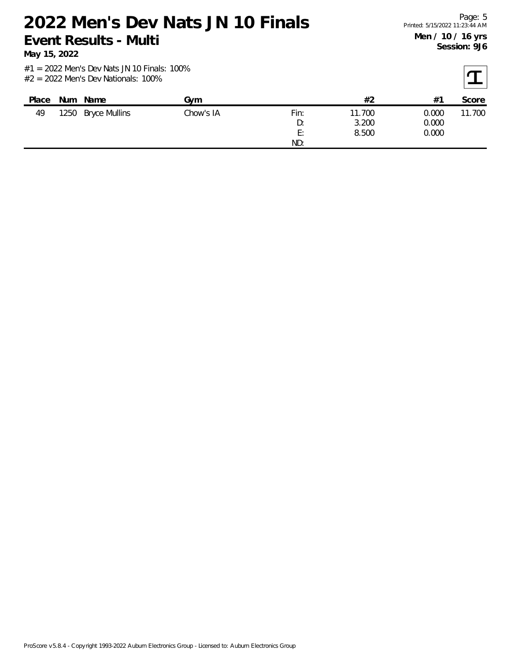**May 15, 2022**

| Place | Num Name           | Gvm       |                       | #2              | #1             | Score  |
|-------|--------------------|-----------|-----------------------|-----------------|----------------|--------|
| 49    | 1250 Bryce Mullins | Chow's IA | Fin:<br>D:            | 11.700<br>3.200 | 0.000<br>0.000 | 11.700 |
|       |                    |           | Е٠<br><u>.</u><br>ND: | 8.500           | 0.000          |        |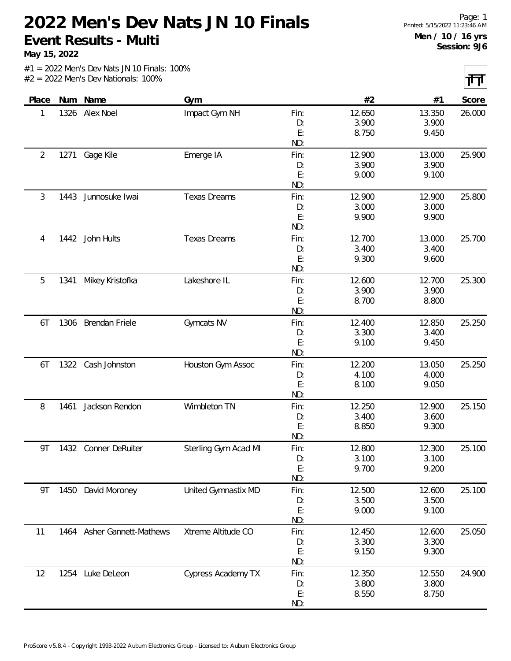**May 15, 2022**

 $|\mathbf{H}|$ 

|  |                                       |  | $#1 = 2022$ Men's Dev Nats JN 10 Finals: 100% |  |
|--|---------------------------------------|--|-----------------------------------------------|--|
|  | $#2 = 2022$ Men's Dev Nationals: 100% |  |                                               |  |

|                |      |                            |                      |      |        |        | $\sim$ $\sim$ |
|----------------|------|----------------------------|----------------------|------|--------|--------|---------------|
| Place          | Num  | Name                       | Gym                  |      | #2     | #1     | Score         |
| 1              | 1326 | Alex Noel                  | Impact Gym NH        | Fin: | 12.650 | 13.350 | 26.000        |
|                |      |                            |                      | D:   | 3.900  | 3.900  |               |
|                |      |                            |                      | E:   | 8.750  | 9.450  |               |
|                |      |                            |                      | ND:  |        |        |               |
| $\overline{2}$ | 1271 | Gage Kile                  | Emerge IA            | Fin: | 12.900 | 13.000 | 25.900        |
|                |      |                            |                      | D:   | 3.900  | 3.900  |               |
|                |      |                            |                      | E:   | 9.000  | 9.100  |               |
|                |      |                            |                      | ND:  |        |        |               |
| 3              | 1443 | Junnosuke Iwai             | <b>Texas Dreams</b>  | Fin: | 12.900 | 12.900 | 25.800        |
|                |      |                            |                      | D:   | 3.000  | 3.000  |               |
|                |      |                            |                      | E:   | 9.900  | 9.900  |               |
|                |      |                            |                      | ND:  |        |        |               |
| 4              | 1442 | John Hults                 | <b>Texas Dreams</b>  | Fin: | 12.700 | 13.000 | 25.700        |
|                |      |                            |                      | D:   | 3.400  | 3.400  |               |
|                |      |                            |                      | E:   | 9.300  | 9.600  |               |
|                |      |                            |                      | ND:  |        |        |               |
| 5              | 1341 | Mikey Kristofka            | Lakeshore IL         | Fin: | 12.600 | 12.700 | 25.300        |
|                |      |                            |                      | D:   | 3.900  | 3.900  |               |
|                |      |                            |                      | E:   | 8.700  | 8.800  |               |
|                |      |                            |                      | ND:  |        |        |               |
| 6T             | 1306 | <b>Brendan Friele</b>      | Gymcats NV           | Fin: | 12.400 | 12.850 | 25.250        |
|                |      |                            |                      | D:   | 3.300  | 3.400  |               |
|                |      |                            |                      | E:   | 9.100  | 9.450  |               |
|                |      |                            |                      | ND:  |        |        |               |
| 6T             | 1322 | Cash Johnston              | Houston Gym Assoc    | Fin: | 12.200 | 13.050 | 25.250        |
|                |      |                            |                      | D:   | 4.100  | 4.000  |               |
|                |      |                            |                      | E:   | 8.100  | 9.050  |               |
|                |      |                            |                      | ND:  |        |        |               |
| 8              | 1461 | Jackson Rendon             | Wimbleton TN         | Fin: | 12.250 | 12.900 | 25.150        |
|                |      |                            |                      | D:   | 3.400  | 3.600  |               |
|                |      |                            |                      | E:   | 8.850  | 9.300  |               |
|                |      |                            |                      | ND:  |        |        |               |
| 9T             | 1432 | Conner DeRuiter            | Sterling Gym Acad MI | Fin: | 12.800 | 12.300 | 25.100        |
|                |      |                            |                      | D:   | 3.100  | 3.100  |               |
|                |      |                            |                      | E:   | 9.700  | 9.200  |               |
|                |      |                            |                      | ND:  |        |        |               |
| 9T             |      | 1450 David Moroney         | United Gymnastix MD  | Fin: | 12.500 | 12.600 | 25.100        |
|                |      |                            |                      | D:   | 3.500  | 3.500  |               |
|                |      |                            |                      | E:   | 9.000  | 9.100  |               |
|                |      |                            |                      | ND:  |        |        |               |
| 11             |      | 1464 Asher Gannett-Mathews | Xtreme Altitude CO   | Fin: | 12.450 | 12.600 | 25.050        |
|                |      |                            |                      | D:   | 3.300  | 3.300  |               |
|                |      |                            |                      | E:   | 9.150  | 9.300  |               |
|                |      |                            |                      | ND:  |        |        |               |
| 12             | 1254 | Luke DeLeon                | Cypress Academy TX   | Fin: | 12.350 | 12.550 | 24.900        |
|                |      |                            |                      | D:   | 3.800  | 3.800  |               |
|                |      |                            |                      | E:   | 8.550  | 8.750  |               |
|                |      |                            |                      | ND:  |        |        |               |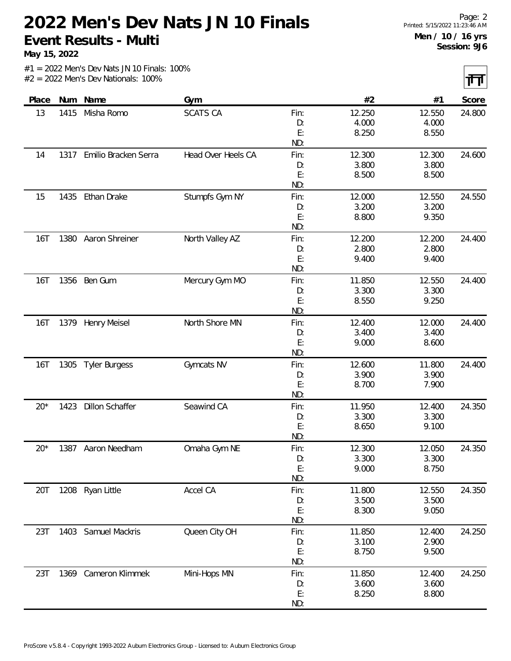**May 15, 2022**

त्तत

|  |  |  | $#1 = 2022$ Men's Dev Nats JN 10 Finals: 100% |  |
|--|--|--|-----------------------------------------------|--|
|  |  |  | $#2 = 2022$ Men's Dev Nationals: 100%         |  |

|       |      |                           |                    |           |                |                | the contract of the contract of |
|-------|------|---------------------------|--------------------|-----------|----------------|----------------|---------------------------------|
| Place |      | Num Name                  | Gym                |           | #2             | #1             | Score                           |
| 13    | 1415 | Misha Romo                | <b>SCATS CA</b>    | Fin:      | 12.250         | 12.550         | 24.800                          |
|       |      |                           |                    | D:        | 4.000          | 4.000          |                                 |
|       |      |                           |                    | E:        | 8.250          | 8.550          |                                 |
|       |      |                           |                    | ND:       |                |                |                                 |
| 14    |      | 1317 Emilio Bracken Serra | Head Over Heels CA | Fin:      | 12.300         | 12.300         | 24.600                          |
|       |      |                           |                    | D:        | 3.800          | 3.800          |                                 |
|       |      |                           |                    | E:        | 8.500          | 8.500          |                                 |
|       |      |                           |                    | ND:       |                |                |                                 |
| 15    | 1435 | Ethan Drake               | Stumpfs Gym NY     | Fin:      | 12.000         | 12.550         | 24.550                          |
|       |      |                           |                    | D:        | 3.200          | 3.200          |                                 |
|       |      |                           |                    | E:        | 8.800          | 9.350          |                                 |
|       |      |                           |                    | ND:       |                |                |                                 |
| 16T   | 1380 | Aaron Shreiner            | North Valley AZ    | Fin:      | 12.200         | 12.200         | 24.400                          |
|       |      |                           |                    | D:        | 2.800          | 2.800          |                                 |
|       |      |                           |                    | E:        | 9.400          | 9.400          |                                 |
|       |      |                           |                    | ND:       |                |                |                                 |
| 16T   |      | 1356 Ben Gum              | Mercury Gym MO     | Fin:      | 11.850         | 12.550         | 24.400                          |
|       |      |                           |                    | D:        | 3.300          | 3.300          |                                 |
|       |      |                           |                    | E:        | 8.550          | 9.250          |                                 |
|       |      |                           |                    | ND:       |                |                |                                 |
| 16T   | 1379 | <b>Henry Meisel</b>       | North Shore MN     | Fin:      | 12.400         | 12.000         | 24.400                          |
|       |      |                           |                    | D:        | 3.400          | 3.400          |                                 |
|       |      |                           |                    | E:<br>ND: | 9.000          | 8.600          |                                 |
|       |      |                           |                    |           |                |                |                                 |
| 16T   | 1305 | <b>Tyler Burgess</b>      | Gymcats NV         | Fin:      | 12.600         | 11.800         | 24.400                          |
|       |      |                           |                    | D:<br>E:  | 3.900<br>8.700 | 3.900<br>7.900 |                                 |
|       |      |                           |                    | ND:       |                |                |                                 |
| $20*$ | 1423 | <b>Dillon Schaffer</b>    | Seawind CA         | Fin:      | 11.950         | 12.400         | 24.350                          |
|       |      |                           |                    | D:        | 3.300          | 3.300          |                                 |
|       |      |                           |                    | E:        | 8.650          | 9.100          |                                 |
|       |      |                           |                    | ND:       |                |                |                                 |
| $20*$ | 1387 | Aaron Needham             | Omaha Gym NE       | Fin:      | 12.300         | 12.050         | 24.350                          |
|       |      |                           |                    | D:        | 3.300          | 3.300          |                                 |
|       |      |                           |                    | E:        | 9.000          | 8.750          |                                 |
|       |      |                           |                    | ND:       |                |                |                                 |
| 20T   |      | 1208 Ryan Little          | Accel CA           | Fin:      | 11.800         | 12.550         | 24.350                          |
|       |      |                           |                    | D:        | 3.500          | 3.500          |                                 |
|       |      |                           |                    | E:        | 8.300          | 9.050          |                                 |
|       |      |                           |                    | ND:       |                |                |                                 |
| 23T   |      | 1403 Samuel Mackris       | Queen City OH      | Fin:      | 11.850         | 12.400         | 24.250                          |
|       |      |                           |                    | D:        | 3.100          | 2.900          |                                 |
|       |      |                           |                    | E:        | 8.750          | 9.500          |                                 |
|       |      |                           |                    | ND:       |                |                |                                 |
| 23T   |      | 1369 Cameron Klimmek      | Mini-Hops MN       | Fin:      | 11.850         | 12.400         | 24.250                          |
|       |      |                           |                    | D:        | 3.600          | 3.600          |                                 |
|       |      |                           |                    | E:        | 8.250          | 8.800          |                                 |
|       |      |                           |                    | ND:       |                |                |                                 |
|       |      |                           |                    |           |                |                |                                 |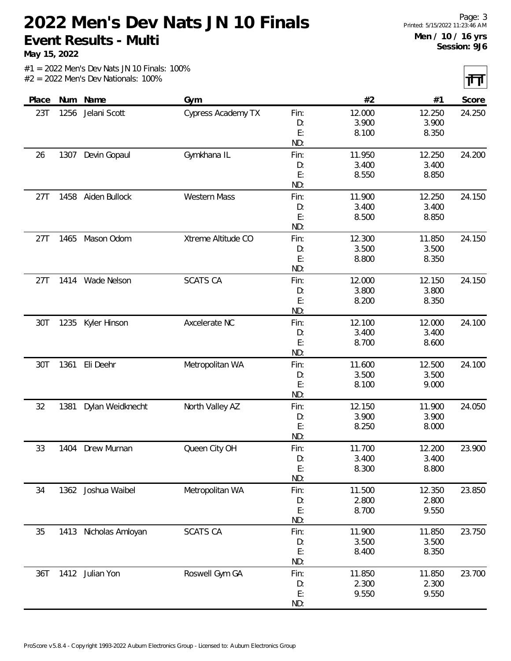**May 15, 2022**

 $|\mathbf{H}|$ 

|       |      |                    |                     |      |        |        | <b>TERMIN</b> |
|-------|------|--------------------|---------------------|------|--------|--------|---------------|
| Place |      | Num Name           | Gym                 |      | #2     | #1     | Score         |
| 23T   | 1256 | Jelani Scott       | Cypress Academy TX  | Fin: | 12.000 | 12.250 | 24.250        |
|       |      |                    |                     | D:   | 3.900  | 3.900  |               |
|       |      |                    |                     | E:   | 8.100  | 8.350  |               |
|       |      |                    |                     | ND:  |        |        |               |
| 26    | 1307 | Devin Gopaul       | Gymkhana IL         | Fin: | 11.950 | 12.250 | 24.200        |
|       |      |                    |                     | D:   | 3.400  | 3.400  |               |
|       |      |                    |                     | E:   | 8.550  | 8.850  |               |
|       |      |                    |                     | ND:  |        |        |               |
| 27T   | 1458 | Aiden Bullock      | <b>Western Mass</b> | Fin: | 11.900 | 12.250 | 24.150        |
|       |      |                    |                     | D:   | 3.400  | 3.400  |               |
|       |      |                    |                     | E:   | 8.500  | 8.850  |               |
|       |      |                    |                     | ND:  |        |        |               |
| 27T   | 1465 | Mason Odom         | Xtreme Altitude CO  | Fin: | 12.300 | 11.850 | 24.150        |
|       |      |                    |                     | D:   | 3.500  | 3.500  |               |
|       |      |                    |                     | E:   | 8.800  | 8.350  |               |
|       |      |                    |                     | ND:  |        |        |               |
| 27T   |      | 1414 Wade Nelson   | <b>SCATS CA</b>     | Fin: | 12.000 | 12.150 | 24.150        |
|       |      |                    |                     | D:   | 3.800  | 3.800  |               |
|       |      |                    |                     | E:   | 8.200  | 8.350  |               |
|       |      |                    |                     | ND:  |        |        |               |
| 30T   | 1235 | Kyler Hinson       | Axcelerate NC       | Fin: | 12.100 | 12.000 | 24.100        |
|       |      |                    |                     | D:   | 3.400  | 3.400  |               |
|       |      |                    |                     | E:   | 8.700  | 8.600  |               |
|       |      |                    |                     | ND:  |        |        |               |
| 30T   | 1361 | Eli Deehr          | Metropolitan WA     | Fin: | 11.600 | 12.500 | 24.100        |
|       |      |                    |                     | D:   | 3.500  | 3.500  |               |
|       |      |                    |                     | E:   | 8.100  | 9.000  |               |
|       |      |                    |                     | ND:  |        |        |               |
| 32    | 1381 | Dylan Weidknecht   | North Valley AZ     | Fin: | 12.150 | 11.900 | 24.050        |
|       |      |                    |                     | D:   | 3.900  | 3.900  |               |
|       |      |                    |                     | E:   | 8.250  | 8.000  |               |
|       |      |                    |                     | ND:  |        |        |               |
| 33    | 1404 | Drew Murnan        | Queen City OH       | Fin: | 11.700 | 12.200 | 23.900        |
|       |      |                    |                     | D:   | 3.400  | 3.400  |               |
|       |      |                    |                     | E:   | 8.300  | 8.800  |               |
|       |      |                    |                     | ND:  |        |        |               |
| 34    |      | 1362 Joshua Waibel | Metropolitan WA     | Fin: | 11.500 | 12.350 | 23.850        |
|       |      |                    |                     | D:   | 2.800  | 2.800  |               |
|       |      |                    |                     | E:   | 8.700  | 9.550  |               |
|       |      |                    |                     | ND:  |        |        |               |
| 35    | 1413 | Nicholas Amloyan   | <b>SCATS CA</b>     | Fin: | 11.900 | 11.850 | 23.750        |
|       |      |                    |                     | D:   | 3.500  | 3.500  |               |
|       |      |                    |                     | E:   | 8.400  | 8.350  |               |
|       |      |                    |                     | ND:  |        |        |               |
| 36T   |      | 1412 Julian Yon    | Roswell Gym GA      | Fin: | 11.850 | 11.850 | 23.700        |
|       |      |                    |                     | D:   | 2.300  | 2.300  |               |
|       |      |                    |                     | E:   | 9.550  | 9.550  |               |
|       |      |                    |                     | ND:  |        |        |               |
|       |      |                    |                     |      |        |        |               |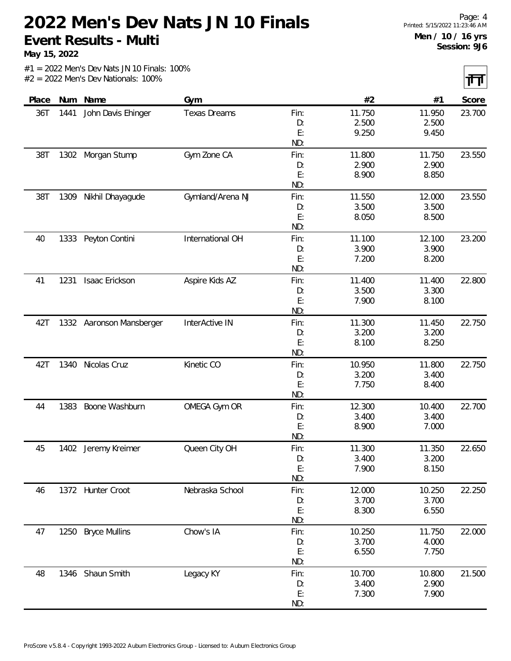**May 15, 2022**

 $|\mathbf{H}|$ 

|  | $#1 = 2022$ Men's Dev Nats JN 10 Finals: 100% |  |
|--|-----------------------------------------------|--|
|  | $#2 = 2022$ Men's Dev Nationals: 100%         |  |

|       |      |                          |                     |            |        |        | $\sim$ $\sim$ |
|-------|------|--------------------------|---------------------|------------|--------|--------|---------------|
| Place | Num  | Name                     | Gym                 |            | #2     | #1     | Score         |
| 36T   | 1441 | John Davis Ehinger       | <b>Texas Dreams</b> | Fin:       | 11.750 | 11.950 | 23.700        |
|       |      |                          |                     | D:         | 2.500  | 2.500  |               |
|       |      |                          |                     | E:         | 9.250  | 9.450  |               |
|       |      |                          |                     | ND:        |        |        |               |
| 38T   | 1302 | Morgan Stump             | Gym Zone CA         | Fin:       | 11.800 | 11.750 | 23.550        |
|       |      |                          |                     | D:         | 2.900  | 2.900  |               |
|       |      |                          |                     | E:         | 8.900  | 8.850  |               |
|       |      |                          |                     | ND:        |        |        |               |
| 38T   | 1309 | Nikhil Dhayagude         | Gymland/Arena NJ    | Fin:       | 11.550 | 12.000 | 23.550        |
|       |      |                          |                     | D:         | 3.500  | 3.500  |               |
|       |      |                          |                     | E:         | 8.050  | 8.500  |               |
|       |      |                          |                     | ND:        |        |        |               |
| 40    | 1333 | Peyton Contini           | International OH    | Fin:       | 11.100 | 12.100 | 23.200        |
|       |      |                          |                     | D:         | 3.900  | 3.900  |               |
|       |      |                          |                     | E:         | 7.200  | 8.200  |               |
|       |      |                          |                     | ND:        |        |        |               |
| 41    | 1231 | Isaac Erickson           | Aspire Kids AZ      | Fin:       | 11.400 | 11.400 | 22.800        |
|       |      |                          |                     | D:         | 3.500  | 3.300  |               |
|       |      |                          |                     | E:         | 7.900  | 8.100  |               |
|       |      |                          |                     | ND:        |        |        |               |
| 42T   |      | 1332 Aaronson Mansberger | InterActive IN      | Fin:       | 11.300 | 11.450 | 22.750        |
|       |      |                          |                     | D:         | 3.200  | 3.200  |               |
|       |      |                          |                     | E:         | 8.100  | 8.250  |               |
|       |      |                          | Kinetic CO          | ND:        | 10.950 | 11.800 |               |
| 42T   | 1340 | Nicolas Cruz             |                     | Fin:<br>D: | 3.200  | 3.400  | 22.750        |
|       |      |                          |                     | E:         | 7.750  | 8.400  |               |
|       |      |                          |                     | ND:        |        |        |               |
| 44    | 1383 | Boone Washburn           | OMEGA Gym OR        | Fin:       | 12.300 | 10.400 | 22.700        |
|       |      |                          |                     | D:         | 3.400  | 3.400  |               |
|       |      |                          |                     | E:         | 8.900  | 7.000  |               |
|       |      |                          |                     | ND:        |        |        |               |
| 45    |      | 1402 Jeremy Kreimer      | Queen City OH       | Fin:       | 11.300 | 11.350 | 22.650        |
|       |      |                          |                     | D:         | 3.400  | 3.200  |               |
|       |      |                          |                     | E:         | 7.900  | 8.150  |               |
|       |      |                          |                     | ND:        |        |        |               |
| 46    |      | 1372 Hunter Croot        | Nebraska School     | Fin:       | 12.000 | 10.250 | 22.250        |
|       |      |                          |                     | D:         | 3.700  | 3.700  |               |
|       |      |                          |                     | E:         | 8.300  | 6.550  |               |
|       |      |                          |                     | ND:        |        |        |               |
| 47    |      | 1250 Bryce Mullins       | Chow's IA           | Fin:       | 10.250 | 11.750 | 22.000        |
|       |      |                          |                     | D:         | 3.700  | 4.000  |               |
|       |      |                          |                     | E:         | 6.550  | 7.750  |               |
|       |      |                          |                     | ND:        |        |        |               |
| 48    |      | 1346 Shaun Smith         | Legacy KY           | Fin:       | 10.700 | 10.800 | 21.500        |
|       |      |                          |                     | D:         | 3.400  | 2.900  |               |
|       |      |                          |                     | E:         | 7.300  | 7.900  |               |
|       |      |                          |                     | ND:        |        |        |               |
|       |      |                          |                     |            |        |        |               |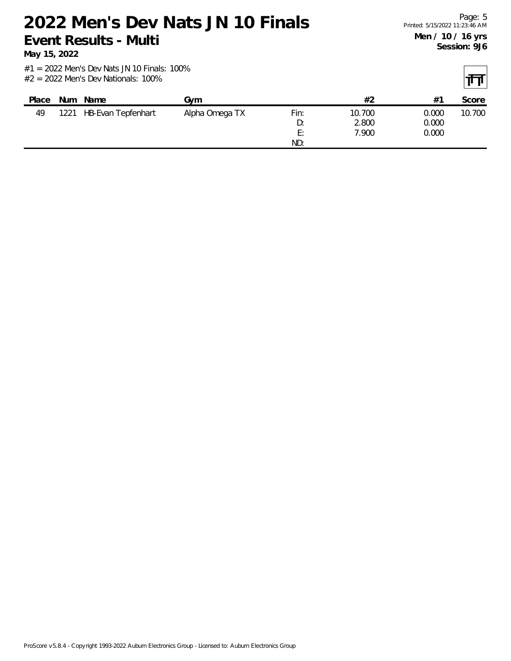**May 15, 2022**

| Place | <b>Num</b> | Name               | Gvm            |                 | #2     | $#^{\sim}$ | Score  |
|-------|------------|--------------------|----------------|-----------------|--------|------------|--------|
| 49    | 1221       | HB-Evan Tepfenhart | Alpha Omega TX | Fin:            | 10.700 | 0.000      | 10.700 |
|       |            |                    |                | D:              | 2.800  | 0.000      |        |
|       |            |                    |                | Е٠<br><u>ь,</u> | 7.900  | 0.000      |        |
|       |            |                    |                | ND:             |        |            |        |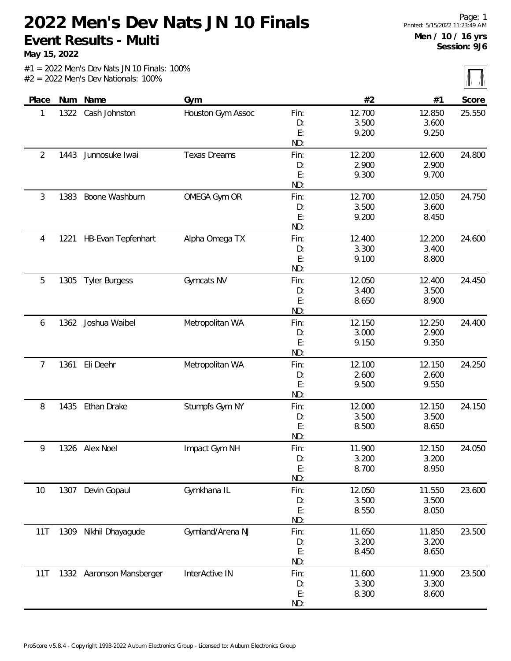**May 15, 2022**

 $\sqrt{N}$ 

|                |      |                          |                     |           |                 |                 | $\mathbf{u}$ $\mathbf{u}$ |
|----------------|------|--------------------------|---------------------|-----------|-----------------|-----------------|---------------------------|
| Place          |      | Num Name                 | Gym                 |           | #2              | #1              | Score                     |
| 1              | 1322 | Cash Johnston            | Houston Gym Assoc   | Fin:      | 12.700          | 12.850          | 25.550                    |
|                |      |                          |                     | D:        | 3.500           | 3.600           |                           |
|                |      |                          |                     | E:        | 9.200           | 9.250           |                           |
|                |      |                          |                     | ND:       |                 |                 |                           |
| $\overline{2}$ | 1443 | Junnosuke Iwai           | <b>Texas Dreams</b> | Fin:      | 12.200          | 12.600          | 24.800                    |
|                |      |                          |                     | D:        | 2.900           | 2.900           |                           |
|                |      |                          |                     | E:        | 9.300           | 9.700           |                           |
|                |      |                          |                     | ND:       |                 |                 |                           |
| 3              | 1383 | Boone Washburn           | OMEGA Gym OR        | Fin:      | 12.700          | 12.050          | 24.750                    |
|                |      |                          |                     | D:        | 3.500           | 3.600           |                           |
|                |      |                          |                     | E:<br>ND: | 9.200           | 8.450           |                           |
|                |      |                          |                     |           |                 |                 |                           |
| 4              | 1221 | HB-Evan Tepfenhart       | Alpha Omega TX      | Fin:      | 12.400          | 12.200          | 24.600                    |
|                |      |                          |                     | D:<br>E:  | 3.300<br>9.100  | 3.400<br>8.800  |                           |
|                |      |                          |                     | ND:       |                 |                 |                           |
| 5              |      |                          | Gymcats NV          | Fin:      | 12.050          | 12.400          | 24.450                    |
|                | 1305 | <b>Tyler Burgess</b>     |                     | D:        | 3.400           | 3.500           |                           |
|                |      |                          |                     | E:        | 8.650           | 8.900           |                           |
|                |      |                          |                     | ND:       |                 |                 |                           |
| 6              | 1362 | Joshua Waibel            | Metropolitan WA     | Fin:      | 12.150          | 12.250          | 24.400                    |
|                |      |                          |                     | D:        | 3.000           | 2.900           |                           |
|                |      |                          |                     | E:        | 9.150           | 9.350           |                           |
|                |      |                          |                     | ND:       |                 |                 |                           |
| 7              | 1361 | Eli Deehr                | Metropolitan WA     | Fin:      | 12.100          | 12.150          | 24.250                    |
|                |      |                          |                     | D:        | 2.600           | 2.600           |                           |
|                |      |                          |                     | E:        | 9.500           | 9.550           |                           |
|                |      |                          |                     | ND:       |                 |                 |                           |
| 8              | 1435 | Ethan Drake              | Stumpfs Gym NY      | Fin:      | 12.000          | 12.150          | 24.150                    |
|                |      |                          |                     | D:        | 3.500           | 3.500           |                           |
|                |      |                          |                     | E:        | 8.500           | 8.650           |                           |
|                |      |                          |                     | ND:       |                 |                 |                           |
| 9              |      | 1326 Alex Noel           | Impact Gym NH       | Fin:      | 11.900          | 12.150          | 24.050                    |
|                |      |                          |                     | D:        | 3.200           | 3.200           |                           |
|                |      |                          |                     | E:        | 8.700           | 8.950           |                           |
|                |      |                          |                     | ND:       |                 |                 |                           |
| 10             | 1307 | Devin Gopaul             | Gymkhana IL         | Fin:      | 12.050          | 11.550          | 23.600                    |
|                |      |                          |                     | D:        | 3.500           | 3.500           |                           |
|                |      |                          |                     | E:        | 8.550           | 8.050           |                           |
|                |      |                          |                     | ND:       |                 |                 |                           |
| 11T            |      | 1309 Nikhil Dhayagude    | Gymland/Arena NJ    | Fin:      | 11.650          | 11.850          | 23.500                    |
|                |      |                          |                     | D:        | 3.200           | 3.200           |                           |
|                |      |                          |                     | E:<br>ND: | 8.450           | 8.650           |                           |
|                |      |                          |                     |           |                 |                 |                           |
| 11T            |      | 1332 Aaronson Mansberger | InterActive IN      | Fin:      | 11.600<br>3.300 | 11.900<br>3.300 | 23.500                    |
|                |      |                          |                     | D:<br>E:  | 8.300           | 8.600           |                           |
|                |      |                          |                     | ND:       |                 |                 |                           |
|                |      |                          |                     |           |                 |                 |                           |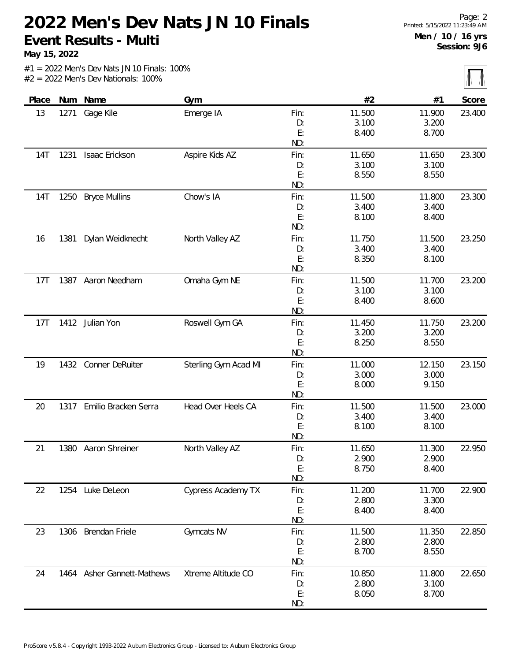**May 15, 2022**

 $\sqrt{N}$ 

|            |      |                            |                           |      |        |        | $\left  \Pi \right\rangle$ $\left  \Pi \right\rangle$ |
|------------|------|----------------------------|---------------------------|------|--------|--------|-------------------------------------------------------|
| Place      |      | Num Name                   | Gym                       |      | #2     | #1     | Score                                                 |
| 13         | 1271 | Gage Kile                  | Emerge IA                 | Fin: | 11.500 | 11.900 | 23.400                                                |
|            |      |                            |                           | D:   | 3.100  | 3.200  |                                                       |
|            |      |                            |                           | E:   | 8.400  | 8.700  |                                                       |
|            |      |                            |                           | ND:  |        |        |                                                       |
| <b>14T</b> | 1231 | Isaac Erickson             | Aspire Kids AZ            | Fin: | 11.650 | 11.650 | 23.300                                                |
|            |      |                            |                           | D:   | 3.100  | 3.100  |                                                       |
|            |      |                            |                           | E:   | 8.550  | 8.550  |                                                       |
|            |      |                            |                           | ND:  |        |        |                                                       |
| <b>14T</b> | 1250 | <b>Bryce Mullins</b>       | Chow's IA                 | Fin: | 11.500 | 11.800 | 23.300                                                |
|            |      |                            |                           | D:   | 3.400  | 3.400  |                                                       |
|            |      |                            |                           | E:   | 8.100  | 8.400  |                                                       |
|            |      |                            |                           | ND:  |        |        |                                                       |
| 16         | 1381 | Dylan Weidknecht           | North Valley AZ           | Fin: | 11.750 | 11.500 | 23.250                                                |
|            |      |                            |                           | D:   | 3.400  | 3.400  |                                                       |
|            |      |                            |                           | E:   | 8.350  | 8.100  |                                                       |
|            |      |                            |                           | ND:  |        |        |                                                       |
| 17T        |      | 1387 Aaron Needham         | Omaha Gym NE              | Fin: | 11.500 | 11.700 | 23.200                                                |
|            |      |                            |                           | D:   | 3.100  | 3.100  |                                                       |
|            |      |                            |                           | E:   | 8.400  | 8.600  |                                                       |
|            |      |                            |                           | ND:  |        |        |                                                       |
| 17T        | 1412 | Julian Yon                 | Roswell Gym GA            | Fin: | 11.450 | 11.750 | 23.200                                                |
|            |      |                            |                           | D:   | 3.200  | 3.200  |                                                       |
|            |      |                            |                           | E:   | 8.250  | 8.550  |                                                       |
|            |      |                            |                           | ND:  |        |        |                                                       |
| 19         | 1432 | Conner DeRuiter            | Sterling Gym Acad MI      | Fin: | 11.000 | 12.150 | 23.150                                                |
|            |      |                            |                           | D:   | 3.000  | 3.000  |                                                       |
|            |      |                            |                           | E:   | 8.000  | 9.150  |                                                       |
|            |      |                            |                           | ND:  |        |        |                                                       |
| 20         | 1317 | Emilio Bracken Serra       | Head Over Heels CA        | Fin: | 11.500 | 11.500 | 23.000                                                |
|            |      |                            |                           | D:   | 3.400  | 3.400  |                                                       |
|            |      |                            |                           | E:   | 8.100  | 8.100  |                                                       |
|            |      |                            |                           | ND:  |        |        |                                                       |
| 21         | 1380 | Aaron Shreiner             | North Valley AZ           | Fin: | 11.650 | 11.300 | 22.950                                                |
|            |      |                            |                           | D:   | 2.900  | 2.900  |                                                       |
|            |      |                            |                           | E:   | 8.750  | 8.400  |                                                       |
|            |      |                            |                           | ND:  |        |        |                                                       |
| 22         | 1254 | Luke DeLeon                | <b>Cypress Academy TX</b> | Fin: | 11.200 | 11.700 | 22.900                                                |
|            |      |                            |                           | D:   | 2.800  | 3.300  |                                                       |
|            |      |                            |                           | E:   | 8.400  | 8.400  |                                                       |
|            |      |                            |                           | ND:  |        |        |                                                       |
| 23         |      | 1306 Brendan Friele        | Gymcats NV                | Fin: | 11.500 | 11.350 | 22.850                                                |
|            |      |                            |                           | D:   | 2.800  | 2.800  |                                                       |
|            |      |                            |                           | E:   | 8.700  | 8.550  |                                                       |
|            |      |                            |                           | ND:  |        |        |                                                       |
| 24         |      | 1464 Asher Gannett-Mathews | Xtreme Altitude CO        | Fin: | 10.850 | 11.800 | 22.650                                                |
|            |      |                            |                           | D:   | 2.800  | 3.100  |                                                       |
|            |      |                            |                           | E:   | 8.050  | 8.700  |                                                       |
|            |      |                            |                           | ND:  |        |        |                                                       |
|            |      |                            |                           |      |        |        |                                                       |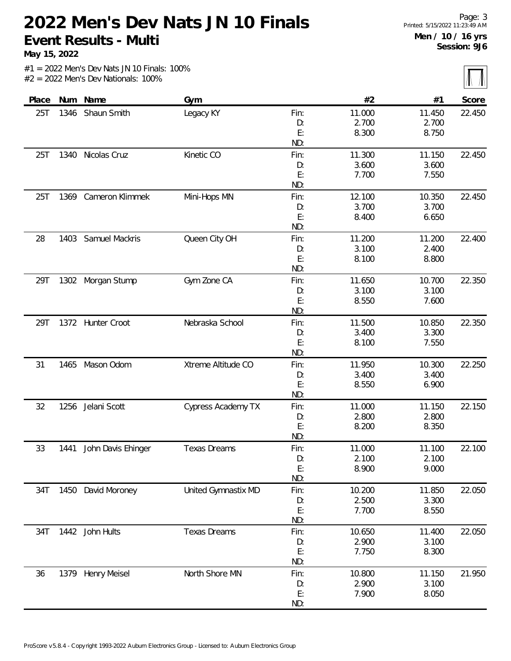**May 15, 2022**

 $\sqrt{N}$ 

|       |      |                    |                     |      |        |        | 71 TR  |
|-------|------|--------------------|---------------------|------|--------|--------|--------|
| Place |      | Num Name           | Gym                 |      | #2     | #1     | Score  |
| 25T   | 1346 | Shaun Smith        | Legacy KY           | Fin: | 11.000 | 11.450 | 22.450 |
|       |      |                    |                     | D:   | 2.700  | 2.700  |        |
|       |      |                    |                     | E:   | 8.300  | 8.750  |        |
|       |      |                    |                     | ND:  |        |        |        |
| 25T   | 1340 | Nicolas Cruz       | Kinetic CO          | Fin: | 11.300 | 11.150 | 22.450 |
|       |      |                    |                     | D:   | 3.600  | 3.600  |        |
|       |      |                    |                     | E:   | 7.700  | 7.550  |        |
|       |      |                    |                     | ND:  |        |        |        |
| 25T   | 1369 | Cameron Klimmek    | Mini-Hops MN        | Fin: | 12.100 | 10.350 | 22.450 |
|       |      |                    |                     | D:   | 3.700  | 3.700  |        |
|       |      |                    |                     | E:   | 8.400  | 6.650  |        |
|       |      |                    |                     | ND:  |        |        |        |
| 28    | 1403 | Samuel Mackris     | Queen City OH       | Fin: | 11.200 | 11.200 | 22.400 |
|       |      |                    |                     | D:   | 3.100  | 2.400  |        |
|       |      |                    |                     | E:   | 8.100  | 8.800  |        |
|       |      |                    |                     | ND:  |        |        |        |
| 29T   | 1302 | Morgan Stump       | Gym Zone CA         | Fin: | 11.650 | 10.700 | 22.350 |
|       |      |                    |                     | D:   | 3.100  | 3.100  |        |
|       |      |                    |                     | E:   | 8.550  | 7.600  |        |
|       |      |                    |                     | ND:  |        |        |        |
| 29T   |      | 1372 Hunter Croot  | Nebraska School     | Fin: | 11.500 | 10.850 | 22.350 |
|       |      |                    |                     | D:   | 3.400  | 3.300  |        |
|       |      |                    |                     | E:   | 8.100  | 7.550  |        |
|       |      |                    |                     | ND:  |        |        |        |
| 31    | 1465 | Mason Odom         | Xtreme Altitude CO  | Fin: | 11.950 | 10.300 | 22.250 |
|       |      |                    |                     | D:   | 3.400  | 3.400  |        |
|       |      |                    |                     | E:   | 8.550  | 6.900  |        |
|       |      |                    |                     | ND:  |        |        |        |
| 32    | 1256 | Jelani Scott       | Cypress Academy TX  | Fin: | 11.000 | 11.150 | 22.150 |
|       |      |                    |                     | D:   | 2.800  | 2.800  |        |
|       |      |                    |                     | E:   | 8.200  | 8.350  |        |
|       |      |                    |                     | ND:  |        |        |        |
| 33    | 1441 | John Davis Ehinger | <b>Texas Dreams</b> | Fin: | 11.000 | 11.100 | 22.100 |
|       |      |                    |                     | D:   | 2.100  | 2.100  |        |
|       |      |                    |                     | E:   | 8.900  | 9.000  |        |
|       |      |                    |                     | ND:  |        |        |        |
| 34T   |      | 1450 David Moroney | United Gymnastix MD | Fin: | 10.200 | 11.850 | 22.050 |
|       |      |                    |                     | D:   | 2.500  | 3.300  |        |
|       |      |                    |                     | E:   | 7.700  | 8.550  |        |
|       |      |                    |                     | ND:  |        |        |        |
| 34T   |      | 1442 John Hults    | <b>Texas Dreams</b> | Fin: | 10.650 | 11.400 | 22.050 |
|       |      |                    |                     | D:   | 2.900  | 3.100  |        |
|       |      |                    |                     | E:   | 7.750  | 8.300  |        |
|       |      |                    |                     | ND:  |        |        |        |
| 36    |      | 1379 Henry Meisel  | North Shore MN      | Fin: | 10.800 | 11.150 | 21.950 |
|       |      |                    |                     | D:   | 2.900  | 3.100  |        |
|       |      |                    |                     | E:   | 7.900  | 8.050  |        |
|       |      |                    |                     | ND:  |        |        |        |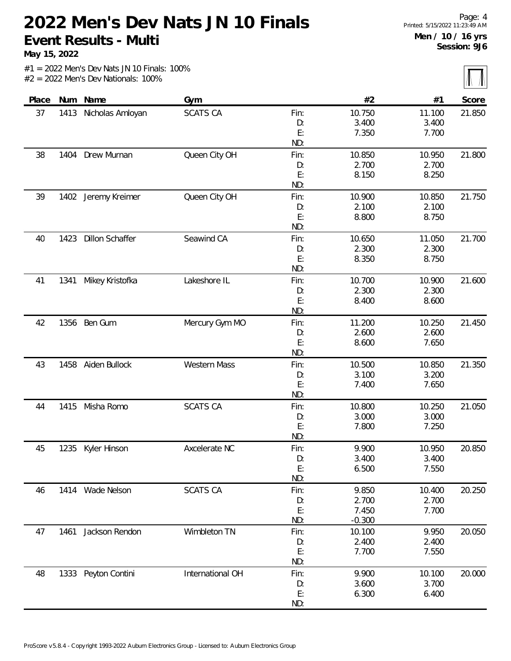**May 15, 2022**

 $\overline{\mathbf{M}}$ 

|       |      |                        |                  |      |          |        | 70 70  |
|-------|------|------------------------|------------------|------|----------|--------|--------|
| Place | Num  | Name                   | Gym              |      | #2       | #1     | Score  |
| 37    | 1413 | Nicholas Amloyan       | <b>SCATS CA</b>  | Fin: | 10.750   | 11.100 | 21.850 |
|       |      |                        |                  | D:   | 3.400    | 3.400  |        |
|       |      |                        |                  | E:   | 7.350    | 7.700  |        |
|       |      |                        |                  | ND:  |          |        |        |
| 38    | 1404 | Drew Murnan            | Queen City OH    | Fin: | 10.850   | 10.950 | 21.800 |
|       |      |                        |                  | D:   | 2.700    | 2.700  |        |
|       |      |                        |                  | E:   | 8.150    | 8.250  |        |
|       |      |                        |                  | ND:  |          |        |        |
| 39    |      | 1402 Jeremy Kreimer    | Queen City OH    | Fin: | 10.900   | 10.850 | 21.750 |
|       |      |                        |                  | D:   | 2.100    | 2.100  |        |
|       |      |                        |                  | E:   | 8.800    | 8.750  |        |
|       |      |                        |                  | ND:  |          |        |        |
| 40    | 1423 | <b>Dillon Schaffer</b> | Seawind CA       | Fin: | 10.650   | 11.050 | 21.700 |
|       |      |                        |                  | D:   | 2.300    | 2.300  |        |
|       |      |                        |                  | E:   | 8.350    | 8.750  |        |
|       |      |                        |                  | ND:  |          |        |        |
| 41    | 1341 | Mikey Kristofka        | Lakeshore IL     | Fin: | 10.700   | 10.900 | 21.600 |
|       |      |                        |                  | D:   | 2.300    | 2.300  |        |
|       |      |                        |                  | E:   | 8.400    | 8.600  |        |
|       |      |                        |                  | ND:  |          |        |        |
| 42    | 1356 | Ben Gum                | Mercury Gym MO   | Fin: | 11.200   | 10.250 | 21.450 |
|       |      |                        |                  | D:   | 2.600    | 2.600  |        |
|       |      |                        |                  | E:   | 8.600    | 7.650  |        |
|       |      |                        |                  | ND:  |          |        |        |
| 43    | 1458 | Aiden Bullock          | Western Mass     | Fin: | 10.500   | 10.850 | 21.350 |
|       |      |                        |                  | D:   | 3.100    | 3.200  |        |
|       |      |                        |                  | E:   | 7.400    | 7.650  |        |
|       |      |                        |                  | ND:  |          |        |        |
| 44    | 1415 | Misha Romo             | <b>SCATS CA</b>  | Fin: | 10.800   | 10.250 | 21.050 |
|       |      |                        |                  | D:   | 3.000    | 3.000  |        |
|       |      |                        |                  | E:   | 7.800    | 7.250  |        |
|       |      |                        |                  | ND:  |          |        |        |
| 45    |      | 1235 Kyler Hinson      | Axcelerate NC    | Fin: | 9.900    | 10.950 | 20.850 |
|       |      |                        |                  | D:   | 3.400    | 3.400  |        |
|       |      |                        |                  | E:   | 6.500    | 7.550  |        |
|       |      |                        |                  | ND:  |          |        |        |
| 46    |      | 1414 Wade Nelson       | <b>SCATS CA</b>  | Fin: | 9.850    | 10.400 | 20.250 |
|       |      |                        |                  | D:   | 2.700    | 2.700  |        |
|       |      |                        |                  | E:   | 7.450    | 7.700  |        |
|       |      |                        |                  | ND:  | $-0.300$ |        |        |
| 47    | 1461 | Jackson Rendon         | Wimbleton TN     | Fin: | 10.100   | 9.950  | 20.050 |
|       |      |                        |                  | D:   | 2.400    | 2.400  |        |
|       |      |                        |                  | E:   | 7.700    | 7.550  |        |
|       |      |                        |                  | ND:  |          |        |        |
| 48    |      | 1333 Peyton Contini    | International OH | Fin: | 9.900    | 10.100 | 20.000 |
|       |      |                        |                  | D:   | 3.600    | 3.700  |        |
|       |      |                        |                  | E:   | 6.300    | 6.400  |        |
|       |      |                        |                  | ND:  |          |        |        |